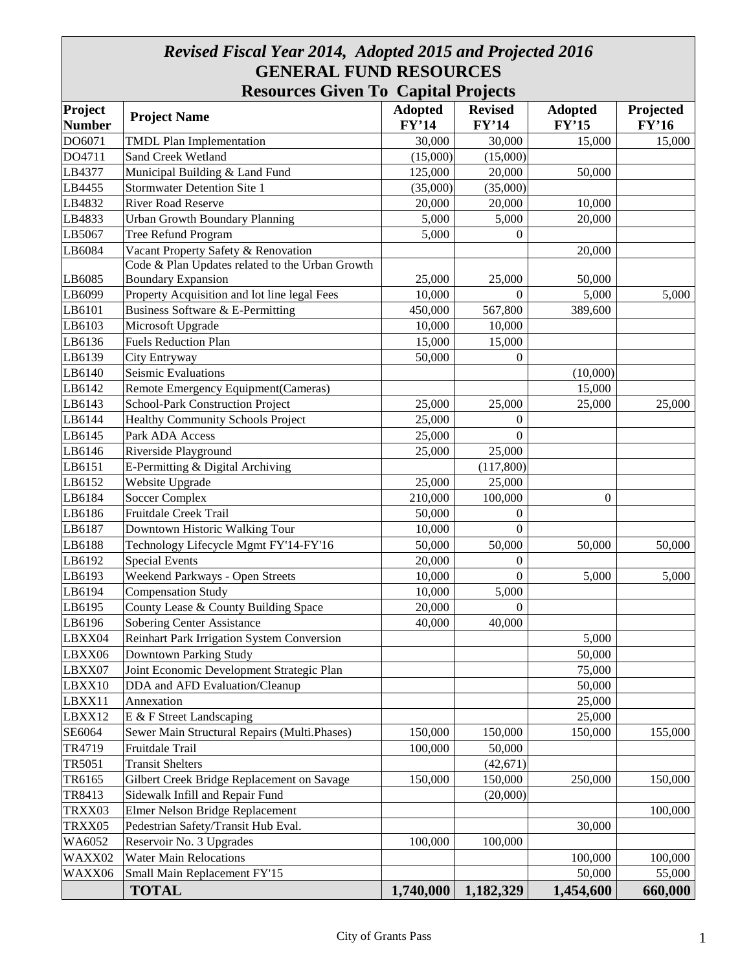# *Revised Fiscal Year 2014, Adopted 2015 and Projected 2016* **GENERAL FUND RESOURCES**

|                          |                                                   | <b>Resources Given To Capital Projects</b> |                         |                         |                    |  |
|--------------------------|---------------------------------------------------|--------------------------------------------|-------------------------|-------------------------|--------------------|--|
| Project<br><b>Number</b> | <b>Project Name</b>                               | <b>Adopted</b><br>FY'14                    | <b>Revised</b><br>FY'14 | <b>Adopted</b><br>FY'15 | Projected<br>FY'16 |  |
| DO6071                   | <b>TMDL Plan Implementation</b>                   | 30,000                                     | 30,000                  | 15,000                  | 15,000             |  |
| DO4711                   | Sand Creek Wetland                                | (15,000)                                   | (15,000)                |                         |                    |  |
| LB4377                   | Municipal Building & Land Fund                    | 125,000                                    | 20,000                  | 50,000                  |                    |  |
| LB4455                   | <b>Stormwater Detention Site 1</b>                | (35,000)                                   | (35,000)                |                         |                    |  |
| LB4832                   | <b>River Road Reserve</b>                         | 20,000                                     | 20,000                  | 10,000                  |                    |  |
| LB4833                   | <b>Urban Growth Boundary Planning</b>             | 5,000                                      | 5,000                   | 20,000                  |                    |  |
| LB5067                   | Tree Refund Program                               | 5,000                                      | $\mathbf{0}$            |                         |                    |  |
| LB6084                   | Vacant Property Safety & Renovation               |                                            |                         | 20,000                  |                    |  |
|                          | Code & Plan Updates related to the Urban Growth   |                                            |                         |                         |                    |  |
| LB6085                   | <b>Boundary Expansion</b>                         | 25,000                                     | 25,000                  | 50,000                  |                    |  |
| LB6099                   | Property Acquisition and lot line legal Fees      | 10,000                                     | $\Omega$                | 5,000                   | 5,000              |  |
| LB6101                   | Business Software & E-Permitting                  | 450,000                                    | 567,800                 | 389,600                 |                    |  |
| LB6103                   | Microsoft Upgrade                                 | 10,000                                     | 10,000                  |                         |                    |  |
| LB6136                   | <b>Fuels Reduction Plan</b>                       | 15,000                                     | 15,000                  |                         |                    |  |
| LB6139                   | City Entryway                                     | 50,000                                     | $\overline{0}$          |                         |                    |  |
| LB6140                   | Seismic Evaluations                               |                                            |                         | (10,000)                |                    |  |
| LB6142                   | Remote Emergency Equipment(Cameras)               |                                            |                         | 15,000                  |                    |  |
| LB6143                   | School-Park Construction Project                  | 25,000                                     | 25,000                  | 25,000                  | 25,000             |  |
| LB6144                   | <b>Healthy Community Schools Project</b>          | 25,000                                     | $\overline{0}$          |                         |                    |  |
| LB6145                   | Park ADA Access                                   | 25,000                                     | $\overline{0}$          |                         |                    |  |
| LB6146                   | Riverside Playground                              | 25,000                                     | 25,000                  |                         |                    |  |
| LB6151                   | E-Permitting & Digital Archiving                  |                                            | (117,800)               |                         |                    |  |
| LB6152                   | Website Upgrade                                   | 25,000                                     | 25,000                  |                         |                    |  |
| LB6184                   | <b>Soccer Complex</b>                             | 210,000                                    | 100,000                 | $\boldsymbol{0}$        |                    |  |
| LB6186                   | Fruitdale Creek Trail                             | 50,000                                     | $\mathbf{0}$            |                         |                    |  |
| LB6187                   | Downtown Historic Walking Tour                    | 10,000                                     | $\Omega$                |                         |                    |  |
| LB6188                   | Technology Lifecycle Mgmt FY'14-FY'16             | 50,000                                     | 50,000                  | 50,000                  | 50,000             |  |
| LB6192                   | <b>Special Events</b>                             | 20,000                                     | $\mathbf{0}$            |                         |                    |  |
| LB6193                   | Weekend Parkways - Open Streets                   | 10,000                                     | $\mathbf{0}$            | 5,000                   | 5,000              |  |
| LB6194                   | <b>Compensation Study</b>                         | 10,000                                     | 5,000                   |                         |                    |  |
| LB6195                   | County Lease & County Building Space              | 20,000                                     | $\boldsymbol{0}$        |                         |                    |  |
| LB6196                   | <b>Sobering Center Assistance</b>                 | 40,000                                     | 40,000                  |                         |                    |  |
| LBXX04                   | <b>Reinhart Park Irrigation System Conversion</b> |                                            |                         | 5,000                   |                    |  |
| LBXX06                   | <b>Downtown Parking Study</b>                     |                                            |                         | 50,000                  |                    |  |
| LBXX07                   | Joint Economic Development Strategic Plan         |                                            |                         | 75,000                  |                    |  |
| LBXX10                   | DDA and AFD Evaluation/Cleanup                    |                                            |                         | 50,000                  |                    |  |
| LBXX11                   | Annexation                                        |                                            |                         | 25,000                  |                    |  |
| LBXX12                   | E & F Street Landscaping                          |                                            |                         | 25,000                  |                    |  |
| SE6064                   | Sewer Main Structural Repairs (Multi.Phases)      | 150,000                                    | 150,000                 | 150,000                 | 155,000            |  |
| TR4719                   | Fruitdale Trail                                   | 100,000                                    | 50,000                  |                         |                    |  |
| TR5051                   | <b>Transit Shelters</b>                           |                                            | (42, 671)               |                         |                    |  |
| TR6165                   | Gilbert Creek Bridge Replacement on Savage        | 150,000                                    | 150,000                 | 250,000                 | 150,000            |  |
| TR8413                   | Sidewalk Infill and Repair Fund                   |                                            | (20,000)                |                         |                    |  |
| TRXX03                   | Elmer Nelson Bridge Replacement                   |                                            |                         |                         | 100,000            |  |
| TRXX05                   | Pedestrian Safety/Transit Hub Eval.               |                                            |                         | 30,000                  |                    |  |
| WA6052                   | Reservoir No. 3 Upgrades                          | 100,000                                    | 100,000                 |                         |                    |  |
| WAXX02                   | <b>Water Main Relocations</b>                     |                                            |                         | 100,000                 | 100,000            |  |
| WAXX06                   | Small Main Replacement FY'15                      |                                            |                         | 50,000                  | 55,000             |  |
|                          | <b>TOTAL</b>                                      | 1,740,000                                  | 1,182,329               | 1,454,600               | 660,000            |  |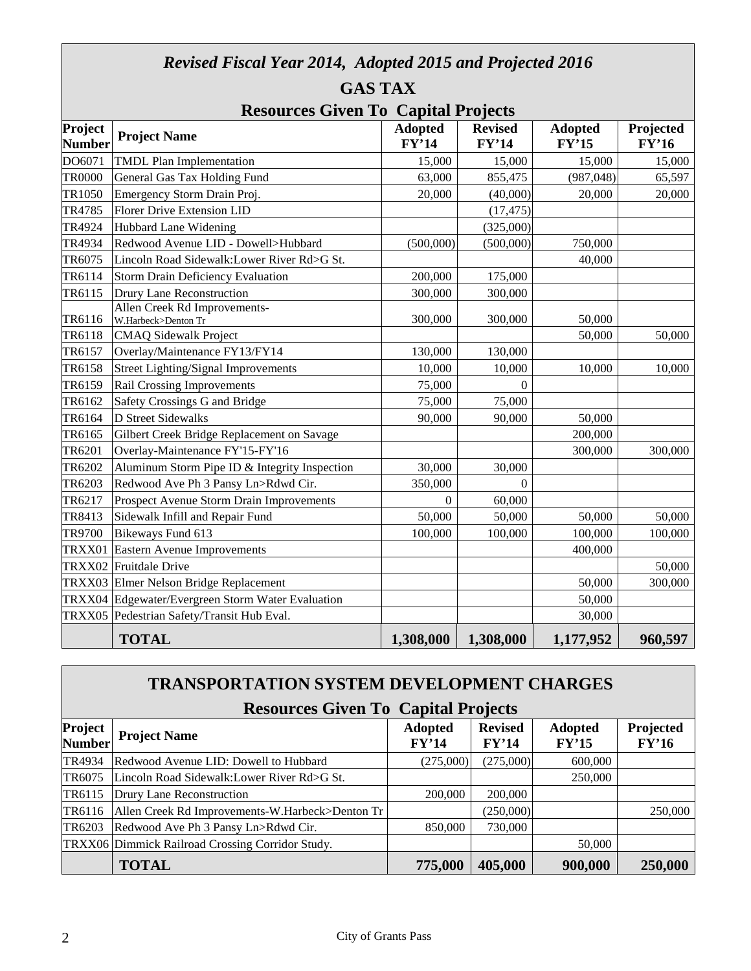| Revised Fiscal Year 2014, Adopted 2015 and Projected 2016 |                                                     |                |                |                |           |  |  |  |
|-----------------------------------------------------------|-----------------------------------------------------|----------------|----------------|----------------|-----------|--|--|--|
|                                                           | <b>GAS TAX</b>                                      |                |                |                |           |  |  |  |
| <b>Resources Given To Capital Projects</b>                |                                                     |                |                |                |           |  |  |  |
| Project                                                   | <b>Project Name</b>                                 | <b>Adopted</b> | <b>Revised</b> | <b>Adopted</b> | Projected |  |  |  |
| <b>Number</b>                                             |                                                     | FY'14          | FY'14          | FY'15          | FY'16     |  |  |  |
| DO6071                                                    | <b>TMDL Plan Implementation</b>                     | 15,000         | 15,000         | 15,000         | 15,000    |  |  |  |
| <b>TR0000</b>                                             | General Gas Tax Holding Fund                        | 63,000         | 855,475        | (987, 048)     | 65,597    |  |  |  |
| TR1050                                                    | Emergency Storm Drain Proj.                         | 20,000         | (40,000)       | 20,000         | 20,000    |  |  |  |
| TR4785                                                    | <b>Florer Drive Extension LID</b>                   |                | (17, 475)      |                |           |  |  |  |
| TR4924                                                    | <b>Hubbard Lane Widening</b>                        |                | (325,000)      |                |           |  |  |  |
| TR4934                                                    | Redwood Avenue LID - Dowell>Hubbard                 | (500,000)      | (500,000)      | 750,000        |           |  |  |  |
| TR6075                                                    | Lincoln Road Sidewalk: Lower River Rd>G St.         |                |                | 40,000         |           |  |  |  |
| TR6114                                                    | <b>Storm Drain Deficiency Evaluation</b>            | 200,000        | 175,000        |                |           |  |  |  |
| TR6115                                                    | Drury Lane Reconstruction                           | 300,000        | 300,000        |                |           |  |  |  |
| TR6116                                                    | Allen Creek Rd Improvements-<br>W.Harbeck>Denton Tr | 300,000        | 300,000        | 50,000         |           |  |  |  |
| TR6118                                                    | <b>CMAQ Sidewalk Project</b>                        |                |                | 50,000         | 50,000    |  |  |  |
| TR6157                                                    | Overlay/Maintenance FY13/FY14                       | 130,000        | 130,000        |                |           |  |  |  |
| TR6158                                                    | <b>Street Lighting/Signal Improvements</b>          | 10,000         | 10,000         | 10,000         | 10,000    |  |  |  |
| TR6159                                                    | <b>Rail Crossing Improvements</b>                   | 75,000         | $\Omega$       |                |           |  |  |  |
| TR6162                                                    | Safety Crossings G and Bridge                       | 75,000         | 75,000         |                |           |  |  |  |
| TR6164                                                    | <b>D</b> Street Sidewalks                           | 90,000         | 90,000         | 50,000         |           |  |  |  |
| TR6165                                                    | Gilbert Creek Bridge Replacement on Savage          |                |                | 200,000        |           |  |  |  |
| TR6201                                                    | Overlay-Maintenance FY'15-FY'16                     |                |                | 300,000        | 300,000   |  |  |  |
| TR6202                                                    | Aluminum Storm Pipe ID & Integrity Inspection       | 30,000         | 30,000         |                |           |  |  |  |
| TR6203                                                    | Redwood Ave Ph 3 Pansy Ln>Rdwd Cir.                 | 350,000        | $\Omega$       |                |           |  |  |  |
| TR6217                                                    | Prospect Avenue Storm Drain Improvements            | $\theta$       | 60,000         |                |           |  |  |  |
| TR8413                                                    | Sidewalk Infill and Repair Fund                     | 50,000         | 50,000         | 50,000         | 50,000    |  |  |  |
| TR9700                                                    | Bikeways Fund 613                                   | 100,000        | 100,000        | 100,000        | 100,000   |  |  |  |
| TRXX01                                                    | Eastern Avenue Improvements                         |                |                | 400,000        |           |  |  |  |
| TRXX02                                                    | Fruitdale Drive                                     |                |                |                | 50,000    |  |  |  |
| TRXX03                                                    | Elmer Nelson Bridge Replacement                     |                |                | 50,000         | 300,000   |  |  |  |
| TRXX04                                                    | Edgewater/Evergreen Storm Water Evaluation          |                |                | 50,000         |           |  |  |  |
| TRXX05                                                    | Pedestrian Safety/Transit Hub Eval.                 |                |                | 30,000         |           |  |  |  |
|                                                           | <b>TOTAL</b>                                        | 1,308,000      | 1,308,000      | 1,177,952      | 960,597   |  |  |  |

### **TRANSPORTATION SYSTEM DEVELOPMENT CHARGES**

| <b>Resources Given To Capital Projects</b> |                                                  |                         |                         |                         |                    |  |  |  |
|--------------------------------------------|--------------------------------------------------|-------------------------|-------------------------|-------------------------|--------------------|--|--|--|
| Project<br><b>Number</b>                   | <b>Project Name</b>                              | <b>Adopted</b><br>FY'14 | <b>Revised</b><br>FY'14 | <b>Adopted</b><br>FY'15 | Projected<br>FY'16 |  |  |  |
| TR4934                                     | Redwood Avenue LID: Dowell to Hubbard            | (275,000)               | (275,000)               | 600,000                 |                    |  |  |  |
| TR6075                                     | Lincoln Road Sidewalk: Lower River Rd>G St.      |                         |                         | 250,000                 |                    |  |  |  |
| TR6115                                     | Drury Lane Reconstruction                        | 200,000                 | 200,000                 |                         |                    |  |  |  |
| TR6116                                     | Allen Creek Rd Improvements-W.Harbeck>Denton Tr  |                         | (250,000)               |                         | 250,000            |  |  |  |
| TR6203                                     | Redwood Ave Ph 3 Pansy Ln>Rdwd Cir.              | 850,000                 | 730,000                 |                         |                    |  |  |  |
|                                            | TRXX06 Dimmick Railroad Crossing Corridor Study. |                         |                         | 50,000                  |                    |  |  |  |
|                                            | <b>TOTAL</b>                                     | 775,000                 | 405,000                 | 900,000                 | 250,000            |  |  |  |

Г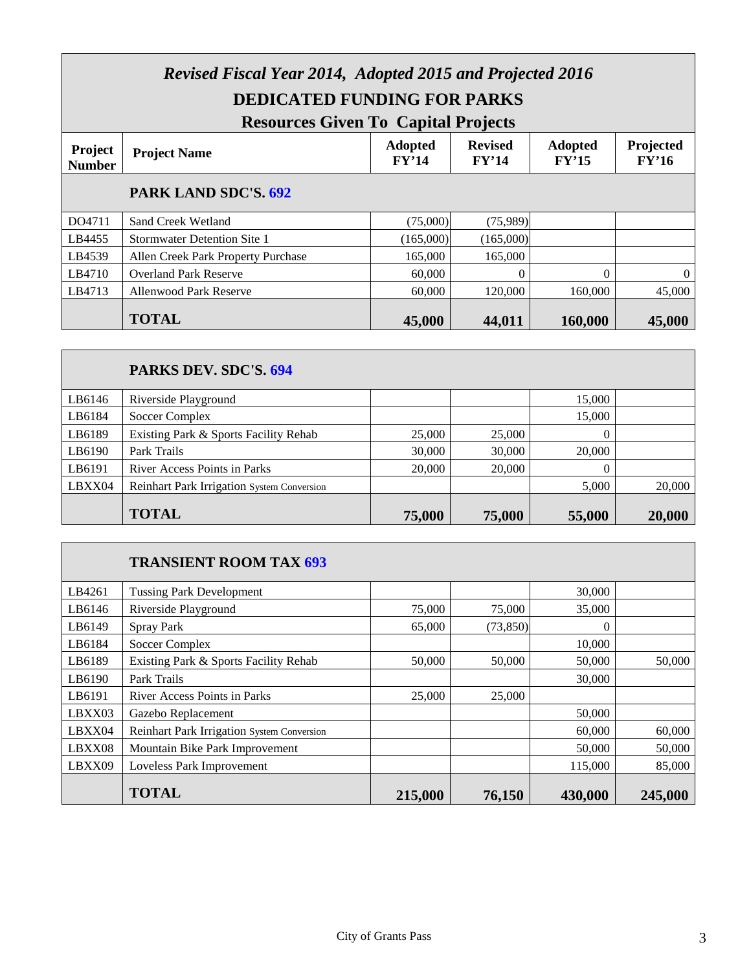| <b>Revised Fiscal Year 2014, Adopted 2015 and Projected 2016</b><br><b>DEDICATED FUNDING FOR PARKS</b>                                                                                                      |                                    |           |           |          |                |  |  |  |
|-------------------------------------------------------------------------------------------------------------------------------------------------------------------------------------------------------------|------------------------------------|-----------|-----------|----------|----------------|--|--|--|
| <b>Resources Given To Capital Projects</b><br><b>Revised</b><br>Projected<br><b>Adopted</b><br><b>Adopted</b><br><b>Project</b><br><b>Project Name</b><br>FY'14<br>FY'14<br>FY'15<br>FY'16<br><b>Number</b> |                                    |           |           |          |                |  |  |  |
|                                                                                                                                                                                                             | PARK LAND SDC'S. 692               |           |           |          |                |  |  |  |
| DO4711                                                                                                                                                                                                      | Sand Creek Wetland                 | (75,000)  | (75,989)  |          |                |  |  |  |
| LB4455                                                                                                                                                                                                      | <b>Stormwater Detention Site 1</b> | (165,000) | (165,000) |          |                |  |  |  |
| LB4539                                                                                                                                                                                                      | Allen Creek Park Property Purchase | 165,000   | 165,000   |          |                |  |  |  |
| LB4710                                                                                                                                                                                                      | <b>Overland Park Reserve</b>       | 60,000    | $\Omega$  | $\Omega$ | $\overline{0}$ |  |  |  |
| LB4713                                                                                                                                                                                                      | <b>Allenwood Park Reserve</b>      | 60,000    | 120,000   | 160,000  | 45,000         |  |  |  |
|                                                                                                                                                                                                             | <b>TOTAL</b>                       | 45,000    | 44,011    | 160,000  | 45,000         |  |  |  |

### **PARKS DEV. SDC'S. 694** LB6146 Riverside Playground 15,000 LB6184 Soccer Complex 15,000 LB6189 | Existing Park & Sports Facility Rehab 25,000 | 25,000 | 25,000 | 0 LB6190 Park Trails 30,000 30,000 30,000 20,000 LB6191 River Access Points in Parks 20,000 20,000 20,000 0 LBXX04 Reinhart Park Irrigation System Conversion 1 5,000 5,000 20,000 **TOTAL 75,000** 75,000 75,000 55,000 20,000

#### **TRANSIENT ROOM TAX 693**

| LB4261 | <b>Tussing Park Development</b>            |         |           | 30,000  |         |
|--------|--------------------------------------------|---------|-----------|---------|---------|
| LB6146 | Riverside Playground                       | 75,000  | 75,000    | 35,000  |         |
| LB6149 | <b>Spray Park</b>                          | 65,000  | (73, 850) | 0       |         |
| LB6184 | Soccer Complex                             |         |           | 10.000  |         |
| LB6189 | Existing Park & Sports Facility Rehab      | 50,000  | 50,000    | 50,000  | 50,000  |
| LB6190 | Park Trails                                |         |           | 30,000  |         |
| LB6191 | <b>River Access Points in Parks</b>        | 25,000  | 25,000    |         |         |
| LBXX03 | Gazebo Replacement                         |         |           | 50,000  |         |
| LBXX04 | Reinhart Park Irrigation System Conversion |         |           | 60,000  | 60,000  |
| LBXX08 | Mountain Bike Park Improvement             |         |           | 50,000  | 50,000  |
| LBXX09 | Loveless Park Improvement                  |         |           | 115,000 | 85,000  |
|        | <b>TOTAL</b>                               | 215,000 | 76,150    | 430,000 | 245,000 |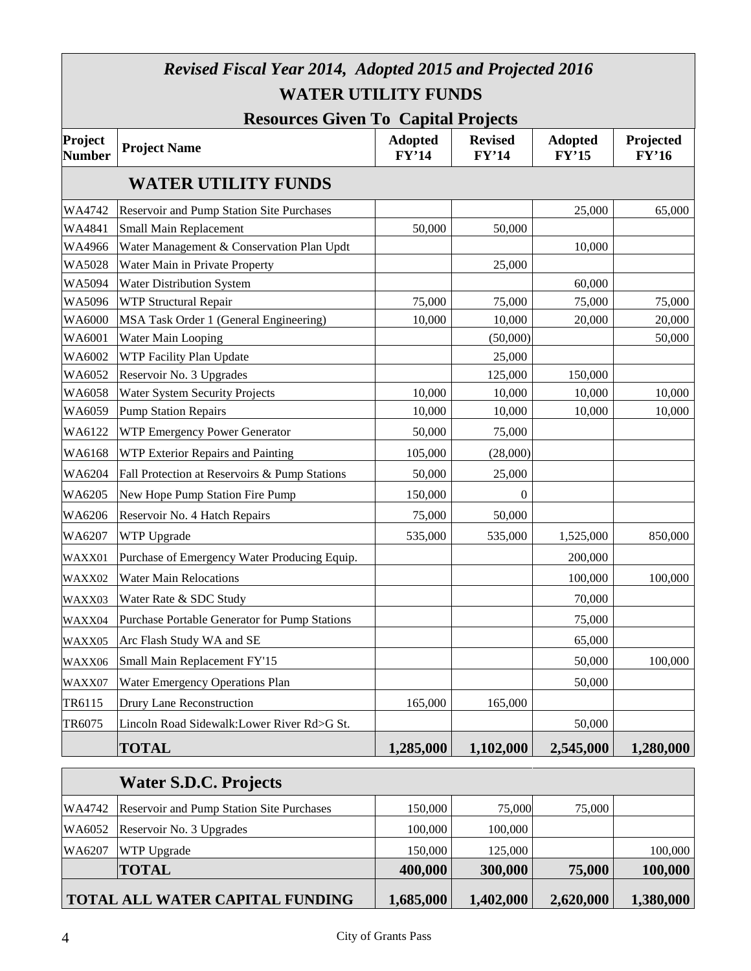| <b>Revised Fiscal Year 2014, Adopted 2015 and Projected 2016</b> |                                                  |                         |                         |                         |                           |  |  |  |  |  |
|------------------------------------------------------------------|--------------------------------------------------|-------------------------|-------------------------|-------------------------|---------------------------|--|--|--|--|--|
|                                                                  | <b>WATER UTILITY FUNDS</b>                       |                         |                         |                         |                           |  |  |  |  |  |
| <b>Resources Given To Capital Projects</b>                       |                                                  |                         |                         |                         |                           |  |  |  |  |  |
| Project<br><b>Number</b>                                         | <b>Project Name</b>                              | <b>Adopted</b><br>FY'14 | <b>Revised</b><br>FY'14 | <b>Adopted</b><br>FY'15 | Projected<br><b>FY'16</b> |  |  |  |  |  |
|                                                                  | <b>WATER UTILITY FUNDS</b>                       |                         |                         |                         |                           |  |  |  |  |  |
| WA4742                                                           | <b>Reservoir and Pump Station Site Purchases</b> |                         |                         | 25,000                  | 65,000                    |  |  |  |  |  |
| WA4841                                                           | Small Main Replacement                           | 50,000                  | 50,000                  |                         |                           |  |  |  |  |  |
| WA4966                                                           | Water Management & Conservation Plan Updt        |                         |                         | 10,000                  |                           |  |  |  |  |  |
| <b>WA5028</b>                                                    | Water Main in Private Property                   |                         | 25,000                  |                         |                           |  |  |  |  |  |
| WA5094                                                           | Water Distribution System                        |                         |                         | 60,000                  |                           |  |  |  |  |  |
| WA5096                                                           | <b>WTP Structural Repair</b>                     | 75,000                  | 75,000                  | 75,000                  | 75,000                    |  |  |  |  |  |
| <b>WA6000</b>                                                    | MSA Task Order 1 (General Engineering)           | 10,000                  | 10,000                  | 20,000                  | 20,000                    |  |  |  |  |  |
| WA6001                                                           | <b>Water Main Looping</b>                        |                         | (50,000)                |                         | 50,000                    |  |  |  |  |  |
| WA6002                                                           | WTP Facility Plan Update                         |                         | 25,000                  |                         |                           |  |  |  |  |  |
| WA6052                                                           | Reservoir No. 3 Upgrades                         |                         | 125,000                 | 150,000                 |                           |  |  |  |  |  |
| WA6058                                                           | <b>Water System Security Projects</b>            | 10,000                  | 10,000                  | 10,000                  | 10,000                    |  |  |  |  |  |
| WA6059                                                           | <b>Pump Station Repairs</b>                      | 10,000                  | 10,000                  | 10,000                  | 10,000                    |  |  |  |  |  |
| WA6122                                                           | WTP Emergency Power Generator                    | 50,000                  | 75,000                  |                         |                           |  |  |  |  |  |
| WA6168                                                           | WTP Exterior Repairs and Painting                | 105,000                 | (28,000)                |                         |                           |  |  |  |  |  |
| WA6204                                                           | Fall Protection at Reservoirs & Pump Stations    | 50,000                  | 25,000                  |                         |                           |  |  |  |  |  |
| WA6205                                                           | New Hope Pump Station Fire Pump                  | 150,000                 | $\theta$                |                         |                           |  |  |  |  |  |
| WA6206                                                           | Reservoir No. 4 Hatch Repairs                    | 75,000                  | 50,000                  |                         |                           |  |  |  |  |  |
| WA6207                                                           | WTP Upgrade                                      | 535,000                 | 535,000                 | 1,525,000               | 850,000                   |  |  |  |  |  |
| WAXX01                                                           | Purchase of Emergency Water Producing Equip.     |                         |                         | 200,000                 |                           |  |  |  |  |  |
| WAXX02                                                           | <b>Water Main Relocations</b>                    |                         |                         | 100,000                 | 100,000                   |  |  |  |  |  |
| WAXX03                                                           | Water Rate & SDC Study                           |                         |                         | 70,000                  |                           |  |  |  |  |  |
| WAXX04                                                           | Purchase Portable Generator for Pump Stations    |                         |                         | 75,000                  |                           |  |  |  |  |  |
| WAXX05                                                           | Arc Flash Study WA and SE                        |                         |                         | 65,000                  |                           |  |  |  |  |  |
| WAXX06                                                           | Small Main Replacement FY'15                     |                         |                         | 50,000                  | 100,000                   |  |  |  |  |  |
| WAXX07                                                           | <b>Water Emergency Operations Plan</b>           |                         |                         | 50,000                  |                           |  |  |  |  |  |
| TR6115                                                           | <b>Drury Lane Reconstruction</b>                 | 165,000                 | 165,000                 |                         |                           |  |  |  |  |  |
| TR6075                                                           | Lincoln Road Sidewalk: Lower River Rd>G St.      |                         |                         | 50,000                  |                           |  |  |  |  |  |
|                                                                  | <b>TOTAL</b>                                     | 1,285,000               | 1,102,000               | 2,545,000               | 1,280,000                 |  |  |  |  |  |

|        | <b>Water S.D.C. Projects</b>                     |           |           |           |           |
|--------|--------------------------------------------------|-----------|-----------|-----------|-----------|
| WA4742 | <b>Reservoir and Pump Station Site Purchases</b> | 150,000   | 75,000    | 75,000    |           |
| WA6052 | Reservoir No. 3 Upgrades                         | 100,000   | 100,000   |           |           |
| WA6207 | <b>WTP Upgrade</b>                               | 150,000   | 125,000   |           | 100,000   |
|        | <b>TOTAL</b>                                     | 400,000   | 300,000   | 75,000    | 100,000   |
|        | <b>TOTAL ALL WATER CAPITAL FUNDING</b>           | 1,685,000 | 1,402,000 | 2,620,000 | 1,380,000 |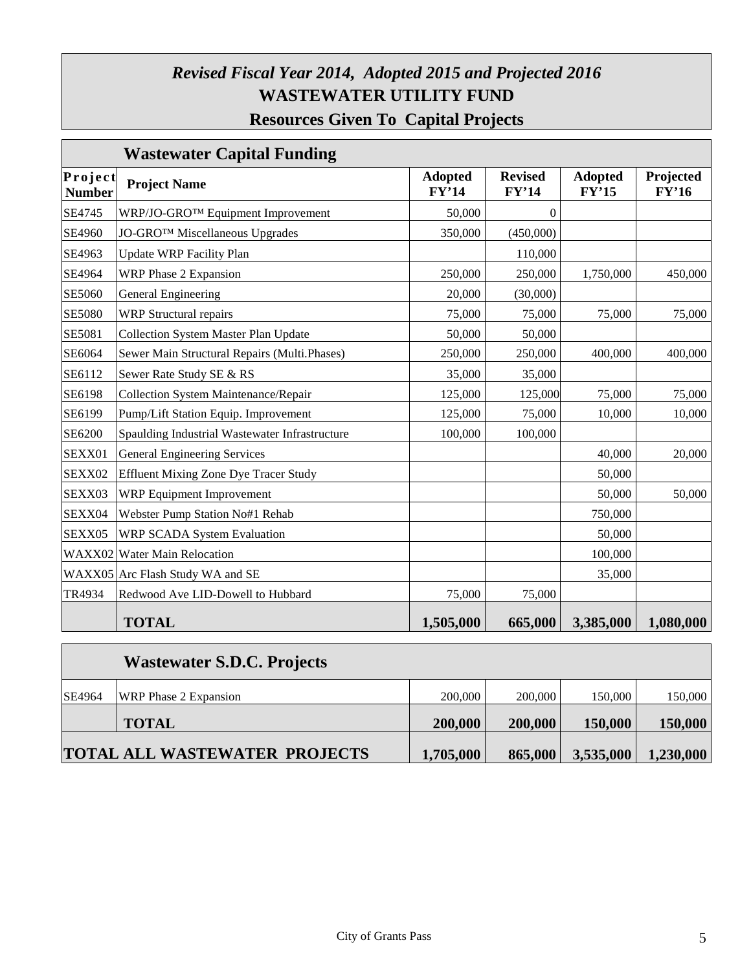### *Revised Fiscal Year 2014, Adopted 2015 and Projected 2016* **WASTEWATER UTILITY FUND Resources Given To Capital Projects**

|                          | <b>Wastewater Capital Funding</b>              |                         |                         |                         |                    |
|--------------------------|------------------------------------------------|-------------------------|-------------------------|-------------------------|--------------------|
| Project<br><b>Number</b> | <b>Project Name</b>                            | <b>Adopted</b><br>FY'14 | <b>Revised</b><br>FY'14 | <b>Adopted</b><br>FY'15 | Projected<br>FY'16 |
| SE4745                   | WRP/JO-GRO™ Equipment Improvement              | 50,000                  | $\theta$                |                         |                    |
| SE4960                   | <b>JO-GROTM Miscellaneous Upgrades</b>         | 350,000                 | (450,000)               |                         |                    |
| SE4963                   | <b>Update WRP Facility Plan</b>                |                         | 110,000                 |                         |                    |
| SE4964                   | <b>WRP Phase 2 Expansion</b>                   | 250,000                 | 250,000                 | 1,750,000               | 450,000            |
| SE5060                   | General Engineering                            | 20,000                  | (30,000)                |                         |                    |
| <b>SE5080</b>            | <b>WRP</b> Structural repairs                  | 75,000                  | 75,000                  | 75,000                  | 75,000             |
| SE5081                   | <b>Collection System Master Plan Update</b>    | 50,000                  | 50,000                  |                         |                    |
| SE6064                   | Sewer Main Structural Repairs (Multi.Phases)   | 250,000                 | 250,000                 | 400,000                 | 400,000            |
| SE6112                   | Sewer Rate Study SE & RS                       | 35,000                  | 35,000                  |                         |                    |
| SE6198                   | Collection System Maintenance/Repair           | 125,000                 | 125,000                 | 75,000                  | 75,000             |
| SE6199                   | Pump/Lift Station Equip. Improvement           | 125,000                 | 75,000                  | 10,000                  | 10,000             |
| SE6200                   | Spaulding Industrial Wastewater Infrastructure | 100,000                 | 100,000                 |                         |                    |
| SEXX01                   | General Engineering Services                   |                         |                         | 40,000                  | 20,000             |
| SEXX02                   | <b>Effluent Mixing Zone Dye Tracer Study</b>   |                         |                         | 50,000                  |                    |
| SEXX03                   | <b>WRP</b> Equipment Improvement               |                         |                         | 50,000                  | 50,000             |
| SEXX04                   | Webster Pump Station No#1 Rehab                |                         |                         | 750,000                 |                    |
| SEXX05                   | WRP SCADA System Evaluation                    |                         |                         | 50,000                  |                    |
|                          | WAXX02 Water Main Relocation                   |                         |                         | 100,000                 |                    |
|                          | WAXX05 Arc Flash Study WA and SE               |                         |                         | 35,000                  |                    |
| TR4934                   | Redwood Ave LID-Dowell to Hubbard              | 75,000                  | 75,000                  |                         |                    |
|                          | <b>TOTAL</b>                                   | 1,505,000               | 665,000                 | 3,385,000               | 1,080,000          |

|        | <b>Wastewater S.D.C. Projects</b>    |           |         |           |           |
|--------|--------------------------------------|-----------|---------|-----------|-----------|
| SE4964 | <b>WRP</b> Phase 2 Expansion         | 200,000   | 200,000 | 150,000   | 150,000   |
|        | <b>TOTAL</b>                         | 200,000   | 200,000 | 150,000   | 150,000   |
|        | <b>TOTAL ALL WASTEWATER PROJECTS</b> | 1,705,000 | 865,000 | 3,535,000 | 1,230,000 |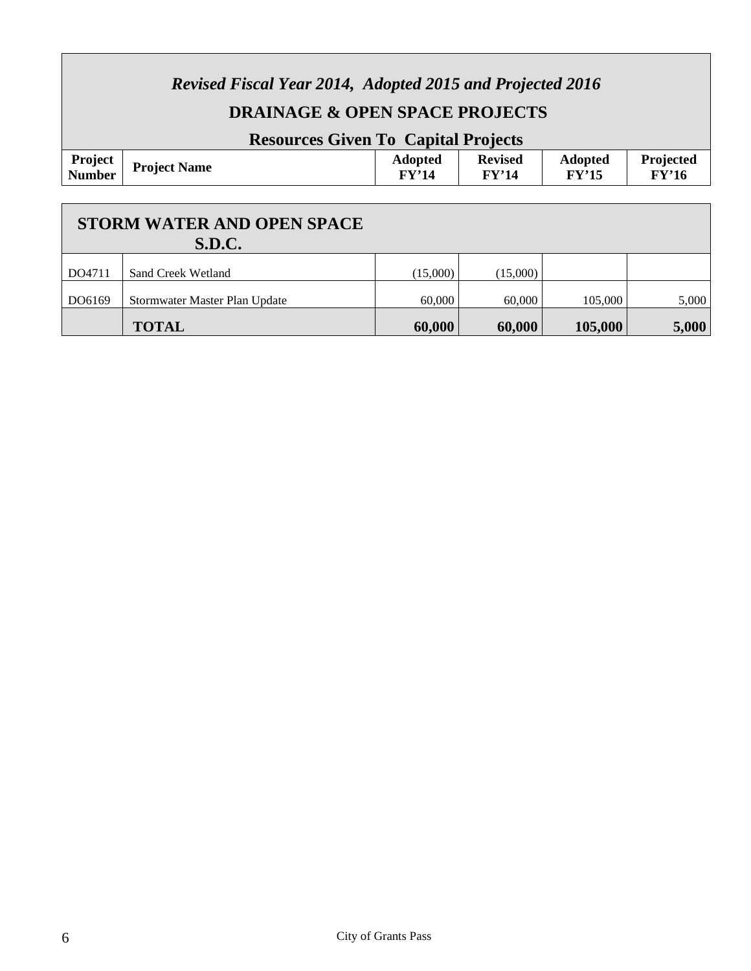| <b>Revised Fiscal Year 2014, Adopted 2015 and Projected 2016</b><br><b>DRAINAGE &amp; OPEN SPACE PROJECTS</b><br><b>Resources Given To Capital Projects</b> |                               |                         |                         |                         |                    |  |  |  |  |
|-------------------------------------------------------------------------------------------------------------------------------------------------------------|-------------------------------|-------------------------|-------------------------|-------------------------|--------------------|--|--|--|--|
| Project<br><b>Number</b>                                                                                                                                    | <b>Project Name</b>           | <b>Adopted</b><br>FY'14 | <b>Revised</b><br>FY'14 | <b>Adopted</b><br>FY'15 | Projected<br>FY'16 |  |  |  |  |
| <b>STORM WATER AND OPEN SPACE</b><br><b>S.D.C.</b>                                                                                                          |                               |                         |                         |                         |                    |  |  |  |  |
| DO4711                                                                                                                                                      | Sand Creek Wetland            | (15,000)                | (15,000)                |                         |                    |  |  |  |  |
| DO6169                                                                                                                                                      | Stormwater Master Plan Update | 60,000                  | 60,000                  | 105,000                 | 5,000              |  |  |  |  |

**TOTAL 60,000 60,000 60,000 105,000 5,000** 

 $\Gamma$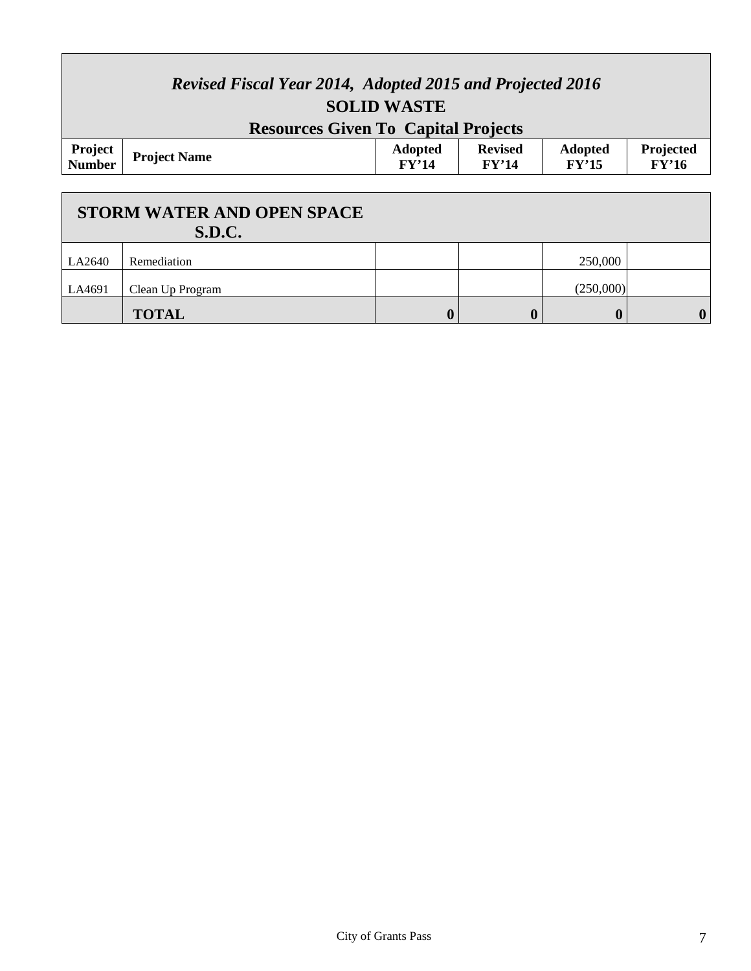| <b>Revised Fiscal Year 2014, Adopted 2015 and Projected 2016</b><br><b>SOLID WASTE</b> |                     |                         |                         |                         |                    |  |  |  |
|----------------------------------------------------------------------------------------|---------------------|-------------------------|-------------------------|-------------------------|--------------------|--|--|--|
| <b>Resources Given To Capital Projects</b>                                             |                     |                         |                         |                         |                    |  |  |  |
| <b>Project</b><br>Number                                                               | <b>Project Name</b> | <b>Adopted</b><br>FY'14 | <b>Revised</b><br>FY'14 | <b>Adopted</b><br>FY'15 | Projected<br>FY'16 |  |  |  |

Г

|        | <b>STORM WATER AND OPEN SPACE</b><br><b>S.D.C.</b> |  |                  |             |
|--------|----------------------------------------------------|--|------------------|-------------|
| LA2640 | Remediation                                        |  | 250,000          |             |
| LA4691 | Clean Up Program                                   |  | (250,000)        |             |
|        | <b>TOTAL</b>                                       |  | $\boldsymbol{0}$ | $\mathbf 0$ |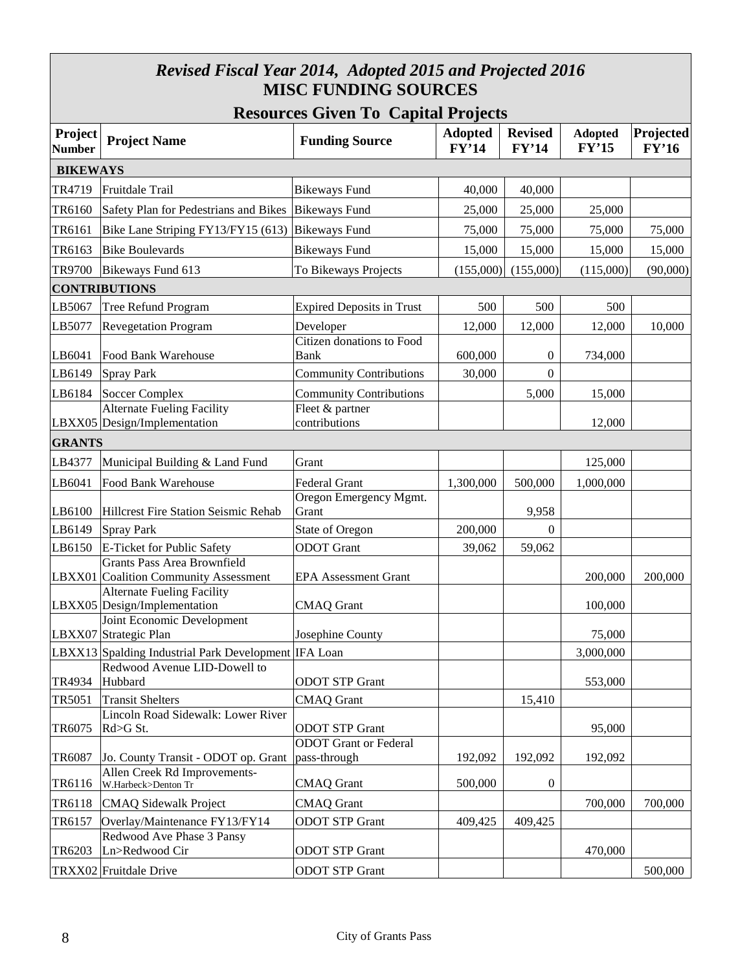#### *Revised Fiscal Year 2014, Adopted 2015 and Projected 2016* **MISC FUNDING SOURCES**

| <b>Resources Given To Capital Projects</b> |
|--------------------------------------------|
|--------------------------------------------|

| Project<br><b>Number</b> | <b>Project Name</b>                                                         | $\sim$<br><b>Funding Source</b>              | <b>Adopted</b><br>FY'14 | <b>Revised</b><br>FY'14 | <b>Adopted</b><br>FY'15 | Projected<br>FY'16 |  |  |  |
|--------------------------|-----------------------------------------------------------------------------|----------------------------------------------|-------------------------|-------------------------|-------------------------|--------------------|--|--|--|
| <b>BIKEWAYS</b>          |                                                                             |                                              |                         |                         |                         |                    |  |  |  |
| TR4719                   | Fruitdale Trail                                                             | <b>Bikeways Fund</b>                         | 40,000                  | 40,000                  |                         |                    |  |  |  |
| TR6160                   | Safety Plan for Pedestrians and Bikes Bikeways Fund                         |                                              | 25,000                  | 25,000                  | 25,000                  |                    |  |  |  |
| TR6161                   | Bike Lane Striping FY13/FY15 (613) Bikeways Fund                            |                                              | 75,000                  | 75,000                  | 75,000                  | 75,000             |  |  |  |
| TR6163                   | <b>Bike Boulevards</b>                                                      | <b>Bikeways Fund</b>                         | 15,000                  | 15,000                  | 15,000                  | 15,000             |  |  |  |
| TR9700                   | Bikeways Fund 613                                                           | To Bikeways Projects                         | (155,000)               | (155,000)               | (115,000)               | (90,000)           |  |  |  |
|                          | <b>CONTRIBUTIONS</b>                                                        |                                              |                         |                         |                         |                    |  |  |  |
| LB5067                   | Tree Refund Program                                                         | <b>Expired Deposits in Trust</b>             | 500                     | 500                     | 500                     |                    |  |  |  |
| LB5077                   | <b>Revegetation Program</b>                                                 | Developer                                    | 12,000                  | 12,000                  | 12,000                  | 10,000             |  |  |  |
| LB6041                   | Food Bank Warehouse                                                         | Citizen donations to Food<br><b>Bank</b>     | 600,000                 | $\boldsymbol{0}$        | 734,000                 |                    |  |  |  |
| LB6149                   | Spray Park                                                                  | <b>Community Contributions</b>               | 30,000                  | $\boldsymbol{0}$        |                         |                    |  |  |  |
| LB6184                   | Soccer Complex                                                              | <b>Community Contributions</b>               |                         | 5,000                   | 15,000                  |                    |  |  |  |
|                          | <b>Alternate Fueling Facility</b><br>LBXX05 Design/Implementation           | Fleet & partner<br>contributions             |                         |                         | 12,000                  |                    |  |  |  |
| <b>GRANTS</b>            |                                                                             |                                              |                         |                         |                         |                    |  |  |  |
| LB4377                   | Municipal Building & Land Fund                                              | Grant                                        |                         |                         | 125,000                 |                    |  |  |  |
| LB6041                   | Food Bank Warehouse                                                         | <b>Federal Grant</b>                         | 1,300,000               | 500,000                 | 1,000,000               |                    |  |  |  |
| LB6100                   | Hillcrest Fire Station Seismic Rehab                                        | Oregon Emergency Mgmt.<br>Grant              |                         | 9,958                   |                         |                    |  |  |  |
| LB6149                   | Spray Park                                                                  | <b>State of Oregon</b>                       | 200,000                 | $\mathbf{0}$            |                         |                    |  |  |  |
| LB6150                   | E-Ticket for Public Safety                                                  | <b>ODOT</b> Grant                            | 39,062                  | 59,062                  |                         |                    |  |  |  |
|                          | <b>Grants Pass Area Brownfield</b><br>LBXX01 Coalition Community Assessment | <b>EPA Assessment Grant</b>                  |                         |                         | 200,000                 | 200,000            |  |  |  |
|                          | <b>Alternate Fueling Facility</b><br>LBXX05 Design/Implementation           | <b>CMAQ</b> Grant                            |                         |                         | 100,000                 |                    |  |  |  |
|                          | Joint Economic Development<br>LBXX07 Strategic Plan                         | Josephine County                             |                         |                         | 75,000                  |                    |  |  |  |
|                          | LBXX13 Spalding Industrial Park Development IFA Loan                        |                                              |                         |                         | 3,000,000               |                    |  |  |  |
| TR4934                   | Redwood Avenue LID-Dowell to<br>Hubbard                                     | <b>ODOT STP Grant</b>                        |                         |                         | 553,000                 |                    |  |  |  |
| TR5051                   | <b>Transit Shelters</b>                                                     | <b>CMAQ</b> Grant                            |                         | 15,410                  |                         |                    |  |  |  |
| TR6075                   | Lincoln Road Sidewalk: Lower River<br>Rd>G St.                              | <b>ODOT STP Grant</b>                        |                         |                         | 95,000                  |                    |  |  |  |
| TR6087                   | Jo. County Transit - ODOT op. Grant                                         | <b>ODOT</b> Grant or Federal<br>pass-through | 192,092                 | 192,092                 | 192,092                 |                    |  |  |  |
| TR6116                   | Allen Creek Rd Improvements-<br>W.Harbeck>Denton Tr                         | <b>CMAQ</b> Grant                            | 500,000                 | $\boldsymbol{0}$        |                         |                    |  |  |  |
| TR6118                   | <b>CMAQ Sidewalk Project</b>                                                | <b>CMAQ</b> Grant                            |                         |                         | 700,000                 | 700,000            |  |  |  |
| TR6157                   | Overlay/Maintenance FY13/FY14                                               | <b>ODOT STP Grant</b>                        | 409,425                 | 409,425                 |                         |                    |  |  |  |
| TR6203                   | Redwood Ave Phase 3 Pansy<br>Ln>Redwood Cir                                 | <b>ODOT STP Grant</b>                        |                         |                         | 470,000                 |                    |  |  |  |
|                          | TRXX02 Fruitdale Drive                                                      | <b>ODOT STP Grant</b>                        |                         |                         |                         | 500,000            |  |  |  |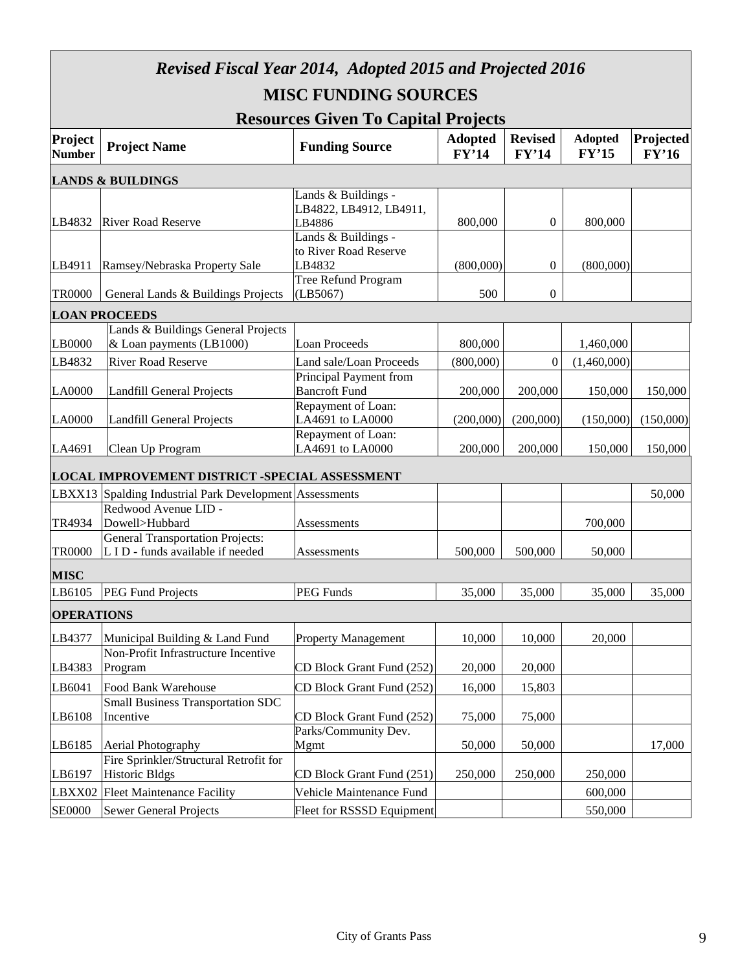|                          | <b>Revised Fiscal Year 2014, Adopted 2015 and Projected 2016</b>             |                                                                                 |                         |                         |                         |                    |  |  |  |
|--------------------------|------------------------------------------------------------------------------|---------------------------------------------------------------------------------|-------------------------|-------------------------|-------------------------|--------------------|--|--|--|
|                          | <b>MISC FUNDING SOURCES</b>                                                  |                                                                                 |                         |                         |                         |                    |  |  |  |
|                          | <b>Resources Given To Capital Projects</b>                                   |                                                                                 |                         |                         |                         |                    |  |  |  |
| Project<br><b>Number</b> | <b>Project Name</b>                                                          | <b>Funding Source</b>                                                           | <b>Adopted</b><br>FY'14 | <b>Revised</b><br>FY'14 | <b>Adopted</b><br>FY'15 | Projected<br>FY'16 |  |  |  |
|                          | <b>LANDS &amp; BUILDINGS</b>                                                 |                                                                                 |                         |                         |                         |                    |  |  |  |
| LB4832                   | <b>River Road Reserve</b>                                                    | Lands & Buildings -<br>LB4822, LB4912, LB4911,<br>LB4886<br>Lands & Buildings - | 800,000                 | $\theta$                | 800,000                 |                    |  |  |  |
| LB4911                   | Ramsey/Nebraska Property Sale                                                | to River Road Reserve<br>LB4832                                                 | (800,000)               | 0                       | (800,000)               |                    |  |  |  |
| <b>TR0000</b>            | General Lands & Buildings Projects                                           | Tree Refund Program<br>(LB5067)                                                 | 500                     | $\overline{0}$          |                         |                    |  |  |  |
|                          | <b>LOAN PROCEEDS</b>                                                         |                                                                                 |                         |                         |                         |                    |  |  |  |
| LB0000                   | Lands & Buildings General Projects<br>& Loan payments (LB1000)               | <b>Loan Proceeds</b>                                                            | 800,000                 |                         | 1,460,000               |                    |  |  |  |
| LB4832                   | <b>River Road Reserve</b>                                                    | Land sale/Loan Proceeds                                                         | (800,000)               | $\boldsymbol{0}$        | (1,460,000)             |                    |  |  |  |
| LA0000                   | Landfill General Projects                                                    | Principal Payment from<br><b>Bancroft Fund</b>                                  | 200,000                 | 200,000                 | 150,000                 | 150,000            |  |  |  |
| <b>LA0000</b>            | Landfill General Projects                                                    | Repayment of Loan:<br>LA4691 to LA0000                                          | (200,000)               | (200,000)               | (150,000)               | (150,000)          |  |  |  |
| LA4691                   | Clean Up Program                                                             | Repayment of Loan:<br>LA4691 to LA0000                                          | 200,000                 | 200,000                 | 150,000                 | 150,000            |  |  |  |
|                          | <b>LOCAL IMPROVEMENT DISTRICT -SPECIAL ASSESSMENT</b>                        |                                                                                 |                         |                         |                         |                    |  |  |  |
| LBXX13                   | Spalding Industrial Park Development Assessments                             |                                                                                 |                         |                         |                         | 50,000             |  |  |  |
| TR4934                   | Redwood Avenue LID -<br>Dowell>Hubbard                                       | Assessments                                                                     |                         |                         | 700,000                 |                    |  |  |  |
| <b>TR0000</b>            | <b>General Transportation Projects:</b><br>L I D - funds available if needed | Assessments                                                                     | 500,000                 | 500,000                 | 50,000                  |                    |  |  |  |
| <b>MISC</b>              |                                                                              |                                                                                 |                         |                         |                         |                    |  |  |  |
| LB6105                   | <b>PEG Fund Projects</b>                                                     | <b>PEG Funds</b>                                                                | 35,000                  | 35,000                  | 35,000                  | 35,000             |  |  |  |
| <b>OPERATIONS</b>        |                                                                              |                                                                                 |                         |                         |                         |                    |  |  |  |
| LB4377                   | Municipal Building & Land Fund                                               | <b>Property Management</b>                                                      | 10,000                  | 10,000                  | 20,000                  |                    |  |  |  |
| LB4383                   | Non-Profit Infrastructure Incentive<br>Program                               | CD Block Grant Fund (252)                                                       | 20,000                  | 20,000                  |                         |                    |  |  |  |
| LB6041                   | Food Bank Warehouse                                                          | CD Block Grant Fund (252)                                                       | 16,000                  | 15,803                  |                         |                    |  |  |  |
| LB6108                   | <b>Small Business Transportation SDC</b><br>Incentive                        | CD Block Grant Fund (252)                                                       | 75,000                  | 75,000                  |                         |                    |  |  |  |
| LB6185                   | Aerial Photography                                                           | Parks/Community Dev.<br>Mgmt                                                    | 50,000                  | 50,000                  |                         | 17,000             |  |  |  |
| LB6197                   | Fire Sprinkler/Structural Retrofit for<br><b>Historic Bldgs</b>              | CD Block Grant Fund (251)                                                       | 250,000                 | 250,000                 | 250,000                 |                    |  |  |  |
| LBXX02                   | <b>Fleet Maintenance Facility</b>                                            | Vehicle Maintenance Fund                                                        |                         |                         | 600,000                 |                    |  |  |  |
| <b>SE0000</b>            | <b>Sewer General Projects</b>                                                | Fleet for RSSSD Equipment                                                       |                         |                         | 550,000                 |                    |  |  |  |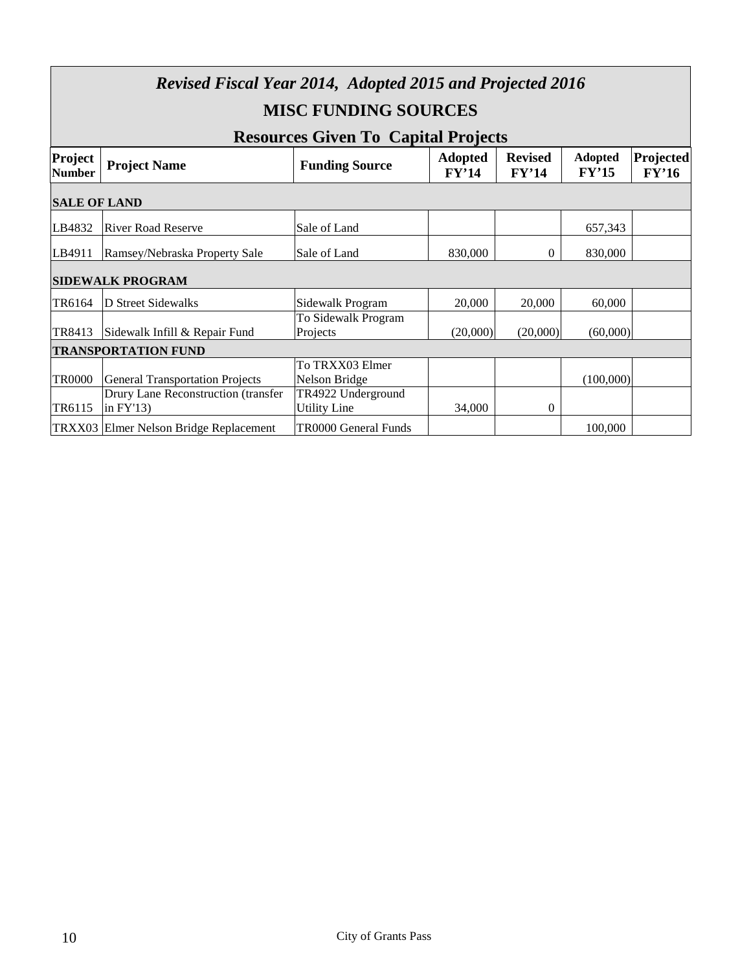| <b>Revised Fiscal Year 2014, Adopted 2015 and Projected 2016</b><br><b>MISC FUNDING SOURCES</b> |                                                    |                                                                     |                         |                         |                         |                    |  |  |  |
|-------------------------------------------------------------------------------------------------|----------------------------------------------------|---------------------------------------------------------------------|-------------------------|-------------------------|-------------------------|--------------------|--|--|--|
| Project<br><b>Number</b>                                                                        | <b>Project Name</b>                                | <b>Resources Given To Capital Projects</b><br><b>Funding Source</b> | <b>Adopted</b><br>FY'14 | <b>Revised</b><br>FY'14 | <b>Adopted</b><br>FY'15 | Projected<br>FY'16 |  |  |  |
|                                                                                                 | <b>SALE OF LAND</b>                                |                                                                     |                         |                         |                         |                    |  |  |  |
| LB4832                                                                                          | <b>River Road Reserve</b>                          | Sale of Land                                                        |                         |                         | 657,343                 |                    |  |  |  |
| LB4911                                                                                          | Ramsey/Nebraska Property Sale                      | Sale of Land                                                        | 830,000                 | $\mathbf{0}$            | 830,000                 |                    |  |  |  |
|                                                                                                 | <b>SIDEWALK PROGRAM</b>                            |                                                                     |                         |                         |                         |                    |  |  |  |
| TR6164                                                                                          | D Street Sidewalks                                 | Sidewalk Program                                                    | 20,000                  | 20,000                  | 60,000                  |                    |  |  |  |
| TR8413                                                                                          | Sidewalk Infill & Repair Fund                      | To Sidewalk Program<br>Projects                                     | (20,000)                | (20,000)                | (60,000)                |                    |  |  |  |
|                                                                                                 | <b>TRANSPORTATION FUND</b>                         |                                                                     |                         |                         |                         |                    |  |  |  |
| <b>TR0000</b>                                                                                   | <b>General Transportation Projects</b>             | To TRXX03 Elmer<br>Nelson Bridge                                    |                         |                         | (100,000)               |                    |  |  |  |
| TR6115                                                                                          | Drury Lane Reconstruction (transfer<br>in $FY'13)$ | TR4922 Underground<br><b>Utility Line</b>                           | 34,000                  | $\boldsymbol{0}$        |                         |                    |  |  |  |
|                                                                                                 | TRXX03 Elmer Nelson Bridge Replacement             | TR0000 General Funds                                                |                         |                         | 100,000                 |                    |  |  |  |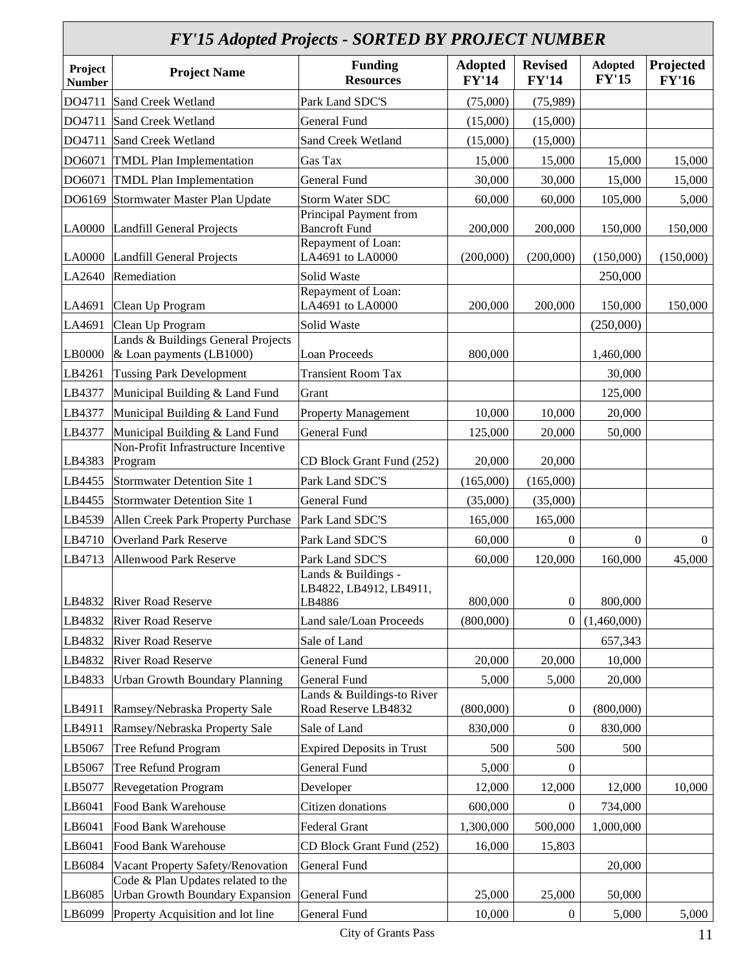#### *FY'15 Adopted Projects - SORTED BY PROJECT NUMBER*

| Г 1-15 Auopieu 1 Гојесіѕ • SONTED D1-1 KOJECT NUMDER |                                                                |                                                                      |                                |                                |                                |                           |  |  |
|------------------------------------------------------|----------------------------------------------------------------|----------------------------------------------------------------------|--------------------------------|--------------------------------|--------------------------------|---------------------------|--|--|
| Project<br><b>Number</b>                             | <b>Project Name</b>                                            | <b>Funding</b><br><b>Resources</b>                                   | <b>Adopted</b><br><b>FY'14</b> | <b>Revised</b><br><b>FY'14</b> | <b>Adopted</b><br><b>FY'15</b> | Projected<br><b>FY'16</b> |  |  |
| DO4711                                               | Sand Creek Wetland                                             | Park Land SDC'S                                                      | (75,000)                       | (75,989)                       |                                |                           |  |  |
| DO4711                                               | Sand Creek Wetland                                             | General Fund                                                         | (15,000)                       | (15,000)                       |                                |                           |  |  |
| DO4711                                               | Sand Creek Wetland                                             | Sand Creek Wetland                                                   | (15,000)                       | (15,000)                       |                                |                           |  |  |
| DO6071                                               | <b>TMDL Plan Implementation</b>                                | Gas Tax                                                              | 15,000                         | 15,000                         | 15,000                         | 15,000                    |  |  |
| DO6071                                               | <b>TMDL Plan Implementation</b>                                | General Fund                                                         | 30,000                         | 30,000                         | 15,000                         | 15,000                    |  |  |
| DO6169                                               | Stormwater Master Plan Update                                  | Storm Water SDC                                                      | 60,000                         | 60,000                         | 105,000                        | 5,000                     |  |  |
|                                                      | LA0000 Landfill General Projects                               | Principal Payment from<br><b>Bancroft Fund</b><br>Repayment of Loan: | 200,000                        | 200,000                        | 150,000                        | 150,000                   |  |  |
| LA0000                                               | Landfill General Projects                                      | LA4691 to LA0000                                                     | (200,000)                      | (200,000)                      | (150,000)                      | (150,000)                 |  |  |
| LA2640                                               | Remediation                                                    | Solid Waste                                                          |                                |                                | 250,000                        |                           |  |  |
| LA4691                                               | Clean Up Program                                               | Repayment of Loan:<br>LA4691 to LA0000                               | 200,000                        | 200,000                        | 150,000                        | 150,000                   |  |  |
| LA4691                                               | Clean Up Program                                               | Solid Waste                                                          |                                |                                | (250,000)                      |                           |  |  |
| LB0000                                               | Lands & Buildings General Projects<br>& Loan payments (LB1000) | <b>Loan Proceeds</b>                                                 | 800,000                        |                                | 1,460,000                      |                           |  |  |
| LB4261                                               | <b>Tussing Park Development</b>                                | <b>Transient Room Tax</b>                                            |                                |                                | 30,000                         |                           |  |  |
| LB4377                                               | Municipal Building & Land Fund                                 | Grant                                                                |                                |                                | 125,000                        |                           |  |  |
| LB4377                                               | Municipal Building & Land Fund                                 | <b>Property Management</b>                                           | 10,000                         | 10,000                         | 20,000                         |                           |  |  |
| LB4377                                               | Municipal Building & Land Fund                                 | <b>General Fund</b>                                                  | 125,000                        | 20,000                         | 50,000                         |                           |  |  |
| LB4383                                               | Non-Profit Infrastructure Incentive<br>Program                 | CD Block Grant Fund (252)                                            | 20,000                         | 20,000                         |                                |                           |  |  |
| LB4455                                               | Stormwater Detention Site 1                                    | Park Land SDC'S                                                      | (165,000)                      | (165,000)                      |                                |                           |  |  |
| LB4455                                               | Stormwater Detention Site 1                                    | <b>General Fund</b>                                                  | (35,000)                       | (35,000)                       |                                |                           |  |  |
| LB4539                                               | Allen Creek Park Property Purchase                             | Park Land SDC'S                                                      | 165,000                        | 165,000                        |                                |                           |  |  |
| LB4710                                               | <b>Overland Park Reserve</b>                                   | Park Land SDC'S                                                      | 60,000                         | $\mathbf{0}$                   | $\boldsymbol{0}$               | $\overline{0}$            |  |  |
| LB4713                                               | Allenwood Park Reserve                                         | Park Land SDC'S                                                      | 60,000                         | 120,000                        | 160,000                        | 45,000                    |  |  |
| LB4832                                               | <b>River Road Reserve</b>                                      | Lands & Buildings -<br>LB4822, LB4912, LB4911,<br>LB4886             | 800,000                        | $\boldsymbol{0}$               | 800,000                        |                           |  |  |
| LB4832                                               | <b>River Road Reserve</b>                                      | Land sale/Loan Proceeds                                              | (800,000)                      | $\boldsymbol{0}$               | (1,460,000)                    |                           |  |  |
| LB4832                                               | <b>River Road Reserve</b>                                      | Sale of Land                                                         |                                |                                | 657,343                        |                           |  |  |
| LB4832                                               | <b>River Road Reserve</b>                                      | <b>General Fund</b>                                                  | 20,000                         | 20,000                         | 10,000                         |                           |  |  |
| LB4833                                               | <b>Urban Growth Boundary Planning</b>                          | General Fund                                                         | 5,000                          | 5,000                          | 20,000                         |                           |  |  |
| LB4911                                               | Ramsey/Nebraska Property Sale                                  | Lands & Buildings-to River<br>Road Reserve LB4832                    | (800,000)                      | $\boldsymbol{0}$               | (800,000)                      |                           |  |  |
| LB4911                                               | Ramsey/Nebraska Property Sale                                  | Sale of Land                                                         | 830,000                        | $\boldsymbol{0}$               | 830,000                        |                           |  |  |
| LB5067                                               | Tree Refund Program                                            | <b>Expired Deposits in Trust</b>                                     | 500                            | 500                            | 500                            |                           |  |  |
| LB5067                                               | Tree Refund Program                                            | General Fund                                                         | 5,000                          | $\boldsymbol{0}$               |                                |                           |  |  |
| LB5077                                               | <b>Revegetation Program</b>                                    | Developer                                                            | 12,000                         | 12,000                         | 12,000                         | 10,000                    |  |  |
| LB6041                                               | Food Bank Warehouse                                            | Citizen donations                                                    | 600,000                        | $\theta$                       | 734,000                        |                           |  |  |
| LB6041                                               | Food Bank Warehouse                                            | Federal Grant                                                        | 1,300,000                      | 500,000                        | 1,000,000                      |                           |  |  |
| LB6041                                               | Food Bank Warehouse                                            | CD Block Grant Fund (252)                                            | 16,000                         | 15,803                         |                                |                           |  |  |
| LB6084                                               | Vacant Property Safety/Renovation                              | General Fund                                                         |                                |                                | 20,000                         |                           |  |  |
|                                                      | Code & Plan Updates related to the                             |                                                                      |                                |                                |                                |                           |  |  |
| LB6085<br>LB6099                                     | <b>Urban Growth Boundary Expansion</b>                         | General Fund<br><b>General Fund</b>                                  | 25,000<br>10,000               | 25,000                         | 50,000                         |                           |  |  |
|                                                      | Property Acquisition and lot line                              |                                                                      |                                | $\boldsymbol{0}$               | 5,000                          | 5,000                     |  |  |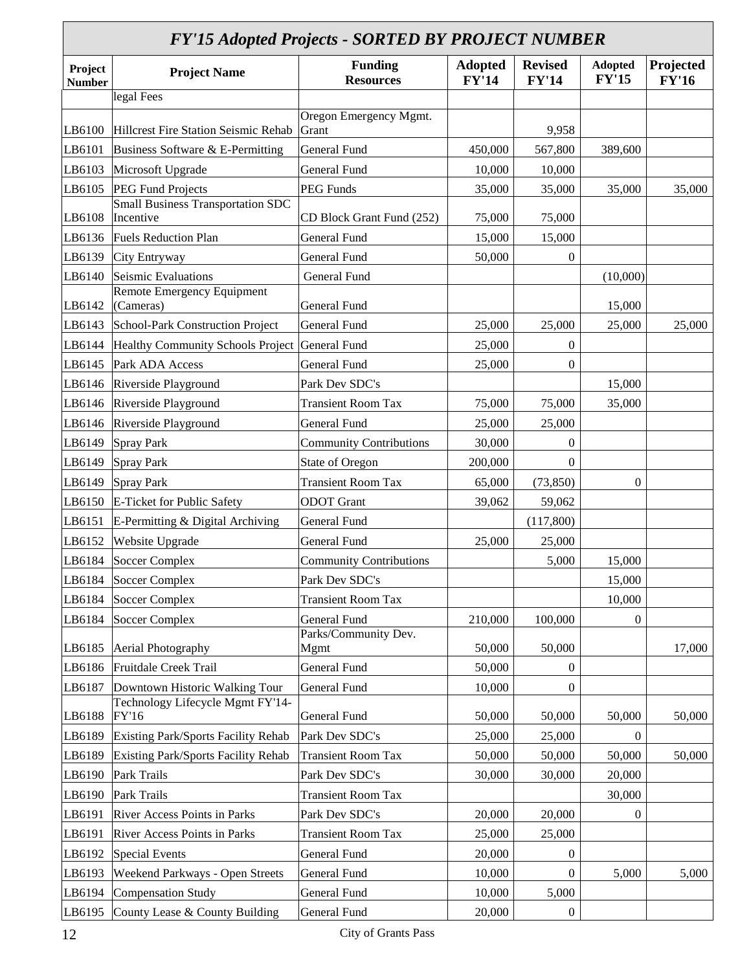|                          | <b>FY'15 Adopted Projects - SORTED BY PROJECT NUMBER</b> |                                    |                                |                                |                                |                           |  |  |
|--------------------------|----------------------------------------------------------|------------------------------------|--------------------------------|--------------------------------|--------------------------------|---------------------------|--|--|
| Project<br><b>Number</b> | <b>Project Name</b>                                      | <b>Funding</b><br><b>Resources</b> | <b>Adopted</b><br><b>FY'14</b> | <b>Revised</b><br><b>FY'14</b> | <b>Adopted</b><br><b>FY'15</b> | Projected<br><b>FY'16</b> |  |  |
|                          | legal Fees                                               |                                    |                                |                                |                                |                           |  |  |
| LB6100                   | Hillcrest Fire Station Seismic Rehab                     | Oregon Emergency Mgmt.<br>Grant    |                                | 9,958                          |                                |                           |  |  |
| LB6101                   | Business Software & E-Permitting                         | General Fund                       | 450,000                        | 567,800                        | 389,600                        |                           |  |  |
| LB6103                   | Microsoft Upgrade                                        | <b>General Fund</b>                | 10,000                         | 10,000                         |                                |                           |  |  |
| LB6105                   | <b>PEG Fund Projects</b>                                 | <b>PEG Funds</b>                   | 35,000                         | 35,000                         | 35,000                         | 35,000                    |  |  |
| LB6108                   | <b>Small Business Transportation SDC</b><br>Incentive    | CD Block Grant Fund (252)          | 75,000                         | 75,000                         |                                |                           |  |  |
| LB6136                   | <b>Fuels Reduction Plan</b>                              | General Fund                       | 15,000                         | 15,000                         |                                |                           |  |  |
| LB6139                   | City Entryway                                            | General Fund                       | 50,000                         | $\boldsymbol{0}$               |                                |                           |  |  |
| LB6140                   | Seismic Evaluations                                      | General Fund                       |                                |                                | (10,000)                       |                           |  |  |
| LB6142                   | Remote Emergency Equipment<br>(Cameras)                  | General Fund                       |                                |                                | 15,000                         |                           |  |  |
| LB6143                   | School-Park Construction Project                         | <b>General Fund</b>                | 25,000                         | 25,000                         | 25,000                         | 25,000                    |  |  |
| LB6144                   | Healthy Community Schools Project General Fund           |                                    | 25,000                         | $\theta$                       |                                |                           |  |  |
| LB6145                   | Park ADA Access                                          | <b>General Fund</b>                | 25,000                         | $\mathbf{0}$                   |                                |                           |  |  |
| LB6146                   | Riverside Playground                                     | Park Dev SDC's                     |                                |                                | 15,000                         |                           |  |  |
| LB6146                   | Riverside Playground                                     | <b>Transient Room Tax</b>          | 75,000                         | 75,000                         | 35,000                         |                           |  |  |
| LB6146                   | Riverside Playground                                     | General Fund                       | 25,000                         | 25,000                         |                                |                           |  |  |
| LB6149                   | <b>Spray Park</b>                                        | <b>Community Contributions</b>     | 30,000                         | $\theta$                       |                                |                           |  |  |
| LB6149                   | <b>Spray Park</b>                                        | State of Oregon                    | 200,000                        | $\mathbf{0}$                   |                                |                           |  |  |
| LB6149                   | <b>Spray Park</b>                                        | <b>Transient Room Tax</b>          | 65,000                         | (73, 850)                      | $\theta$                       |                           |  |  |
| LB6150                   | E-Ticket for Public Safety                               | <b>ODOT</b> Grant                  | 39,062                         | 59,062                         |                                |                           |  |  |
| LB6151                   | E-Permitting & Digital Archiving                         | <b>General Fund</b>                |                                | (117,800)                      |                                |                           |  |  |
| LB6152                   | Website Upgrade                                          | General Fund                       | 25,000                         | 25,000                         |                                |                           |  |  |
| LB6184                   | Soccer Complex                                           | <b>Community Contributions</b>     |                                | 5,000                          | 15,000                         |                           |  |  |
| LB6184                   | <b>Soccer Complex</b>                                    | Park Dev SDC's                     |                                |                                | 15,000                         |                           |  |  |
| LB6184                   | <b>Soccer Complex</b>                                    | <b>Transient Room Tax</b>          |                                |                                | 10,000                         |                           |  |  |
| LB6184                   | <b>Soccer Complex</b>                                    | <b>General Fund</b>                | 210,000                        | 100,000                        | 0                              |                           |  |  |
|                          |                                                          | Parks/Community Dev.               |                                |                                |                                |                           |  |  |
| LB6185                   | Aerial Photography                                       | Mgmt                               | 50,000                         | 50,000                         |                                | 17,000                    |  |  |
| LB6186                   | Fruitdale Creek Trail                                    | General Fund                       | 50,000                         | $\theta$                       |                                |                           |  |  |
| LB6187                   | Downtown Historic Walking Tour                           | General Fund                       | 10,000                         | $\theta$                       |                                |                           |  |  |
| LB6188                   | Technology Lifecycle Mgmt FY'14-<br>FY'16                | General Fund                       | 50,000                         | 50,000                         | 50,000                         | 50,000                    |  |  |
| LB6189                   | Existing Park/Sports Facility Rehab                      | Park Dev SDC's                     | 25,000                         | 25,000                         | 0                              |                           |  |  |
| LB6189                   | Existing Park/Sports Facility Rehab                      | <b>Transient Room Tax</b>          | 50,000                         | 50,000                         | 50,000                         | 50,000                    |  |  |
| LB6190                   | Park Trails                                              | Park Dev SDC's                     | 30,000                         | 30,000                         | 20,000                         |                           |  |  |
| LB6190                   | Park Trails                                              | <b>Transient Room Tax</b>          |                                |                                | 30,000                         |                           |  |  |
| LB6191                   | River Access Points in Parks                             | Park Dev SDC's                     | 20,000                         | 20,000                         | 0                              |                           |  |  |
| LB6191                   | River Access Points in Parks                             | <b>Transient Room Tax</b>          | 25,000                         | 25,000                         |                                |                           |  |  |
| LB6192                   | <b>Special Events</b>                                    | General Fund                       | 20,000                         | $\boldsymbol{0}$               |                                |                           |  |  |
| LB6193                   | Weekend Parkways - Open Streets                          | General Fund                       | 10,000                         | $\theta$                       | 5,000                          | 5,000                     |  |  |
| LB6194                   | Compensation Study                                       | General Fund                       | 10,000                         | 5,000                          |                                |                           |  |  |
| LB6195                   | County Lease & County Building                           | General Fund                       | 20,000                         | $\boldsymbol{0}$               |                                |                           |  |  |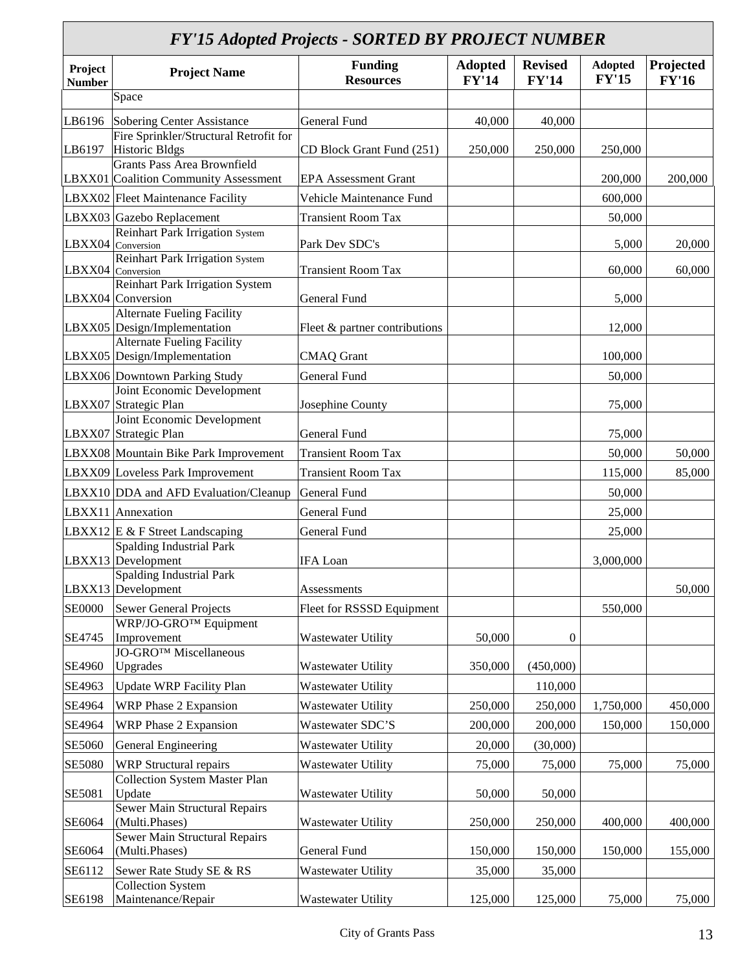#### *FY'15 Adopted Projects - SORTED BY PROJECT NUMBER*

|                          | $1$ To the province $1$ of $\sigma$                         | SORILD DI IROJLCI ROMDLIN<br><b>Funding</b> | <b>Adopted</b> | <b>Revised</b> | <b>Adopted</b> | Projected    |
|--------------------------|-------------------------------------------------------------|---------------------------------------------|----------------|----------------|----------------|--------------|
| Project<br><b>Number</b> | <b>Project Name</b>                                         | <b>Resources</b>                            | <b>FY'14</b>   | <b>FY'14</b>   | <b>FY'15</b>   | <b>FY'16</b> |
|                          | Space                                                       |                                             |                |                |                |              |
| LB6196                   | Sobering Center Assistance                                  | General Fund                                | 40,000         | 40,000         |                |              |
|                          | Fire Sprinkler/Structural Retrofit for                      |                                             |                |                |                |              |
| LB6197                   | <b>Historic Bldgs</b>                                       | CD Block Grant Fund (251)                   | 250,000        | 250,000        | 250,000        |              |
|                          | <b>Grants Pass Area Brownfield</b>                          |                                             |                |                |                |              |
|                          | LBXX01 Coalition Community Assessment                       | <b>EPA Assessment Grant</b>                 |                |                | 200,000        | 200,000      |
|                          | LBXX02 Fleet Maintenance Facility                           | Vehicle Maintenance Fund                    |                |                | 600,000        |              |
|                          | LBXX03 Gazebo Replacement                                   | <b>Transient Room Tax</b>                   |                |                | 50,000         |              |
|                          | <b>Reinhart Park Irrigation System</b><br>LBXX04 Conversion | Park Dev SDC's                              |                |                | 5,000          | 20,000       |
|                          | Reinhart Park Irrigation System                             |                                             |                |                |                |              |
|                          | LBXX04 Conversion                                           | <b>Transient Room Tax</b>                   |                |                | 60,000         | 60,000       |
|                          | <b>Reinhart Park Irrigation System</b>                      |                                             |                |                |                |              |
|                          | LBXX04 Conversion<br><b>Alternate Fueling Facility</b>      | General Fund                                |                |                | 5,000          |              |
|                          | LBXX05 Design/Implementation                                | Fleet & partner contributions               |                |                | 12,000         |              |
|                          | <b>Alternate Fueling Facility</b>                           |                                             |                |                |                |              |
|                          | LBXX05 Design/Implementation                                | <b>CMAQ</b> Grant                           |                |                | 100,000        |              |
|                          | LBXX06 Downtown Parking Study                               | General Fund                                |                |                | 50,000         |              |
|                          | Joint Economic Development                                  |                                             |                |                |                |              |
|                          | LBXX07 Strategic Plan                                       | Josephine County                            |                |                | 75,000         |              |
|                          | Joint Economic Development                                  |                                             |                |                |                |              |
|                          | LBXX07 Strategic Plan                                       | General Fund                                |                |                | 75,000         |              |
|                          | LBXX08 Mountain Bike Park Improvement                       | <b>Transient Room Tax</b>                   |                |                | 50,000         | 50,000       |
|                          | LBXX09 Loveless Park Improvement                            | <b>Transient Room Tax</b>                   |                |                | 115,000        | 85,000       |
|                          | LBXX10 DDA and AFD Evaluation/Cleanup                       | General Fund                                |                |                | 50,000         |              |
|                          | LBXX11 Annexation                                           | General Fund                                |                |                | 25,000         |              |
|                          | LBXX12 $E \& F$ Street Landscaping                          | General Fund                                |                |                | 25,000         |              |
|                          | <b>Spalding Industrial Park</b>                             |                                             |                |                |                |              |
|                          | LBXX13 Development                                          | <b>IFA</b> Loan                             |                |                | 3,000,000      |              |
|                          | <b>Spalding Industrial Park</b>                             |                                             |                |                |                |              |
|                          | LBXX13 Development                                          | Assessments                                 |                |                |                | 50,000       |
| <b>SE0000</b>            | <b>Sewer General Projects</b>                               | Fleet for RSSSD Equipment                   |                |                | 550,000        |              |
|                          | WRP/JO-GRO™ Equipment                                       |                                             |                |                |                |              |
| SE4745                   | Improvement<br>JO-GRO <sup>™</sup> Miscellaneous            | <b>Wastewater Utility</b>                   | 50,000         | $\overline{0}$ |                |              |
| SE4960                   | Upgrades                                                    | <b>Wastewater Utility</b>                   | 350,000        | (450,000)      |                |              |
| SE4963                   | <b>Update WRP Facility Plan</b>                             | Wastewater Utility                          |                | 110,000        |                |              |
|                          |                                                             |                                             |                |                |                |              |
| SE4964                   | WRP Phase 2 Expansion                                       | Wastewater Utility                          | 250,000        | 250,000        | 1,750,000      | 450,000      |
| SE4964                   | WRP Phase 2 Expansion                                       | Wastewater SDC'S                            | 200,000        | 200,000        | 150,000        | 150,000      |
| SE5060                   | General Engineering                                         | Wastewater Utility                          | 20,000         | (30,000)       |                |              |
| <b>SE5080</b>            | <b>WRP</b> Structural repairs                               | <b>Wastewater Utility</b>                   | 75,000         | 75,000         | 75,000         | 75,000       |
|                          | <b>Collection System Master Plan</b>                        |                                             |                |                |                |              |
| SE5081                   | Update                                                      | <b>Wastewater Utility</b>                   | 50,000         | 50,000         |                |              |
|                          | <b>Sewer Main Structural Repairs</b>                        |                                             |                |                |                |              |
| SE6064                   | (Multi.Phases)<br>Sewer Main Structural Repairs             | <b>Wastewater Utility</b>                   | 250,000        | 250,000        | 400,000        | 400,000      |
| SE6064                   | (Multi.Phases)                                              | General Fund                                | 150,000        | 150,000        | 150,000        | 155,000      |
| SE6112                   | Sewer Rate Study SE & RS                                    | <b>Wastewater Utility</b>                   | 35,000         | 35,000         |                |              |
|                          | <b>Collection System</b>                                    |                                             |                |                |                |              |
| SE6198                   | Maintenance/Repair                                          | <b>Wastewater Utility</b>                   | 125,000        | 125,000        | 75,000         | 75,000       |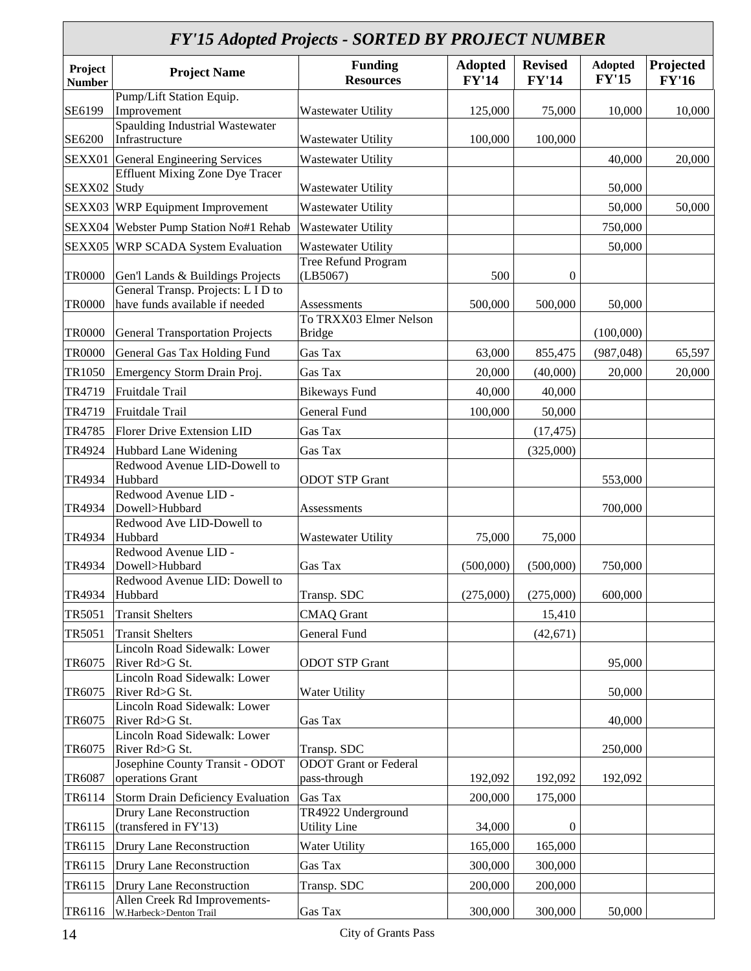|                          | <b>FY'15 Adopted Projects - SORTED BY PROJECT NUMBER</b>             |                                           |                                |                                |                                |                           |  |  |  |  |
|--------------------------|----------------------------------------------------------------------|-------------------------------------------|--------------------------------|--------------------------------|--------------------------------|---------------------------|--|--|--|--|
| Project<br><b>Number</b> | <b>Project Name</b>                                                  | <b>Funding</b><br><b>Resources</b>        | <b>Adopted</b><br><b>FY'14</b> | <b>Revised</b><br><b>FY'14</b> | <b>Adopted</b><br><b>FY'15</b> | Projected<br><b>FY'16</b> |  |  |  |  |
| SE6199                   | Pump/Lift Station Equip.<br>Improvement                              | Wastewater Utility                        | 125,000                        | 75,000                         | 10,000                         | 10,000                    |  |  |  |  |
| SE6200                   | <b>Spaulding Industrial Wastewater</b><br>Infrastructure             | Wastewater Utility                        | 100,000                        | 100,000                        |                                |                           |  |  |  |  |
| SEXX01                   | General Engineering Services                                         | <b>Wastewater Utility</b>                 |                                |                                | 40,000                         | 20,000                    |  |  |  |  |
| SEXX02                   | <b>Effluent Mixing Zone Dye Tracer</b><br>Study                      | <b>Wastewater Utility</b>                 |                                |                                | 50,000                         |                           |  |  |  |  |
|                          | SEXX03 WRP Equipment Improvement                                     | Wastewater Utility                        |                                |                                | 50,000                         | 50,000                    |  |  |  |  |
| SEXX04                   | Webster Pump Station No#1 Rehab                                      | Wastewater Utility                        |                                |                                | 750,000                        |                           |  |  |  |  |
| SEXX05                   | <b>WRP SCADA System Evaluation</b>                                   | Wastewater Utility                        |                                |                                | 50,000                         |                           |  |  |  |  |
| <b>TR0000</b>            | Gen'l Lands & Buildings Projects                                     | Tree Refund Program<br>(LB5067)           | 500                            | $\boldsymbol{0}$               |                                |                           |  |  |  |  |
| <b>TR0000</b>            | General Transp. Projects: L I D to<br>have funds available if needed | Assessments                               | 500,000                        | 500,000                        | 50,000                         |                           |  |  |  |  |
| <b>TR0000</b>            | <b>General Transportation Projects</b>                               | To TRXX03 Elmer Nelson<br><b>Bridge</b>   |                                |                                | (100,000)                      |                           |  |  |  |  |
| <b>TR0000</b>            | General Gas Tax Holding Fund                                         | Gas Tax                                   | 63,000                         | 855,475                        | (987, 048)                     | 65,597                    |  |  |  |  |
| TR1050                   | Emergency Storm Drain Proj.                                          | Gas Tax                                   | 20,000                         | (40,000)                       | 20,000                         | 20,000                    |  |  |  |  |
| TR4719                   | Fruitdale Trail                                                      | <b>Bikeways Fund</b>                      | 40,000                         | 40,000                         |                                |                           |  |  |  |  |
| TR4719                   | Fruitdale Trail                                                      | <b>General Fund</b>                       | 100,000                        | 50,000                         |                                |                           |  |  |  |  |
| TR4785                   | <b>Florer Drive Extension LID</b>                                    | Gas Tax                                   |                                | (17, 475)                      |                                |                           |  |  |  |  |
| TR4924                   | Hubbard Lane Widening                                                | Gas Tax                                   |                                | (325,000)                      |                                |                           |  |  |  |  |
|                          | Redwood Avenue LID-Dowell to                                         |                                           |                                |                                |                                |                           |  |  |  |  |
| TR4934                   | Hubbard<br>Redwood Avenue LID -                                      | <b>ODOT STP Grant</b>                     |                                |                                | 553,000                        |                           |  |  |  |  |
| TR4934                   | Dowell>Hubbard                                                       | Assessments                               |                                |                                | 700,000                        |                           |  |  |  |  |
| TR4934                   | Redwood Ave LID-Dowell to<br>Hubbard                                 | <b>Wastewater Utility</b>                 | 75,000                         | 75,000                         |                                |                           |  |  |  |  |
| TR4934                   | Redwood Avenue LID -<br>Dowell>Hubbard                               | Gas Tax                                   | (500,000)                      | (500,000)                      | 750,000                        |                           |  |  |  |  |
| TR4934                   | Redwood Avenue LID: Dowell to<br>Hubbard                             | Transp. SDC                               | (275,000)                      | (275,000)                      | 600,000                        |                           |  |  |  |  |
| TR5051                   | <b>Transit Shelters</b>                                              | <b>CMAQ</b> Grant                         |                                | 15,410                         |                                |                           |  |  |  |  |
| TR5051                   | <b>Transit Shelters</b>                                              | General Fund                              |                                | (42, 671)                      |                                |                           |  |  |  |  |
| TR6075                   | Lincoln Road Sidewalk: Lower<br>River Rd>G St.                       | <b>ODOT STP Grant</b>                     |                                |                                | 95,000                         |                           |  |  |  |  |
| TR6075                   | Lincoln Road Sidewalk: Lower<br>River Rd>G St.                       | Water Utility                             |                                |                                | 50,000                         |                           |  |  |  |  |
| TR6075                   | Lincoln Road Sidewalk: Lower<br>River Rd>G St.                       | Gas Tax                                   |                                |                                | 40,000                         |                           |  |  |  |  |
| TR6075                   | Lincoln Road Sidewalk: Lower<br>River Rd>G St.                       | Transp. SDC                               |                                |                                | 250,000                        |                           |  |  |  |  |
| TR6087                   | Josephine County Transit - ODOT<br>operations Grant                  | ODOT Grant or Federal<br>pass-through     | 192,092                        | 192,092                        | 192,092                        |                           |  |  |  |  |
| TR6114                   | Storm Drain Deficiency Evaluation                                    | <b>Gas Tax</b>                            | 200,000                        | 175,000                        |                                |                           |  |  |  |  |
| TR6115                   | <b>Drury Lane Reconstruction</b><br>(transfered in FY'13)            | TR4922 Underground<br><b>Utility Line</b> | 34,000                         | $\boldsymbol{0}$               |                                |                           |  |  |  |  |
| TR6115                   | Drury Lane Reconstruction                                            | Water Utility                             | 165,000                        | 165,000                        |                                |                           |  |  |  |  |
| TR6115                   | Drury Lane Reconstruction                                            | Gas Tax                                   | 300,000                        | 300,000                        |                                |                           |  |  |  |  |
| TR6115                   | Drury Lane Reconstruction                                            | Transp. SDC                               | 200,000                        | 200,000                        |                                |                           |  |  |  |  |
| TR6116                   | Allen Creek Rd Improvements-<br>W.Harbeck>Denton Trail               | Gas Tax                                   | 300,000                        | 300,000                        | 50,000                         |                           |  |  |  |  |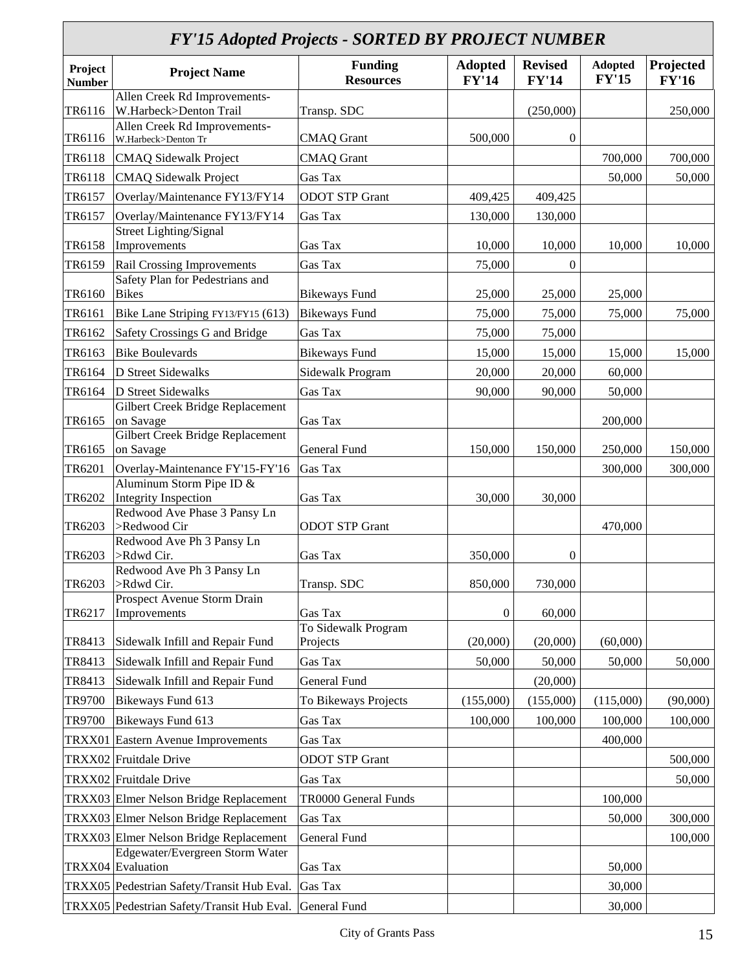## *FY'15 Adopted Projects - SORTED BY PROJECT NUMBER* **Adopted**

| Project<br><b>Number</b> | <b>Project Name</b>                                           | <b>Funding</b><br><b>Resources</b> | <b>Adopted</b><br><b>FY'14</b> | <b>Revised</b><br><b>FY'14</b> | <b>Adopted</b><br><b>FY'15</b> | Projected<br><b>FY'16</b> |
|--------------------------|---------------------------------------------------------------|------------------------------------|--------------------------------|--------------------------------|--------------------------------|---------------------------|
| TR6116                   | Allen Creek Rd Improvements-<br>W.Harbeck>Denton Trail        | Transp. SDC                        |                                | (250,000)                      |                                | 250,000                   |
| TR6116                   | Allen Creek Rd Improvements-<br>W.Harbeck>Denton Tr           | <b>CMAQ</b> Grant                  | 500,000                        | $\boldsymbol{0}$               |                                |                           |
| TR6118                   | <b>CMAQ</b> Sidewalk Project                                  | <b>CMAQ</b> Grant                  |                                |                                | 700,000                        | 700,000                   |
| TR6118                   | <b>CMAQ Sidewalk Project</b>                                  | Gas Tax                            |                                |                                | 50,000                         | 50,000                    |
| TR6157                   | Overlay/Maintenance FY13/FY14                                 | <b>ODOT STP Grant</b>              | 409,425                        | 409,425                        |                                |                           |
| TR6157                   | Overlay/Maintenance FY13/FY14                                 | Gas Tax                            | 130,000                        | 130,000                        |                                |                           |
|                          | <b>Street Lighting/Signal</b>                                 |                                    |                                |                                |                                |                           |
| TR6158                   | Improvements                                                  | Gas Tax                            | 10,000                         | 10,000                         | 10,000                         | 10,000                    |
| TR6159                   | Rail Crossing Improvements<br>Safety Plan for Pedestrians and | Gas Tax                            | 75,000                         | $\boldsymbol{0}$               |                                |                           |
| TR6160                   | <b>Bikes</b>                                                  | <b>Bikeways Fund</b>               | 25,000                         | 25,000                         | 25,000                         |                           |
| TR6161                   | Bike Lane Striping FY13/FY15 (613)                            | <b>Bikeways Fund</b>               | 75,000                         | 75,000                         | 75,000                         | 75,000                    |
| TR6162                   | Safety Crossings G and Bridge                                 | Gas Tax                            | 75,000                         | 75,000                         |                                |                           |
| TR6163                   | <b>Bike Boulevards</b>                                        | <b>Bikeways Fund</b>               | 15,000                         | 15,000                         | 15,000                         | 15,000                    |
| TR6164                   | D Street Sidewalks                                            | Sidewalk Program                   | 20,000                         | 20,000                         | 60,000                         |                           |
| TR6164                   | <b>D</b> Street Sidewalks                                     | Gas Tax                            | 90,000                         | 90,000                         | 50,000                         |                           |
|                          | Gilbert Creek Bridge Replacement                              |                                    |                                |                                |                                |                           |
| TR6165                   | on Savage<br>Gilbert Creek Bridge Replacement                 | Gas Tax                            |                                |                                | 200,000                        |                           |
| TR6165                   | on Savage                                                     | <b>General Fund</b>                | 150,000                        | 150,000                        | 250,000                        | 150,000                   |
| TR6201                   | Overlay-Maintenance FY'15-FY'16                               | Gas Tax                            |                                |                                | 300,000                        | 300,000                   |
|                          | Aluminum Storm Pipe ID &                                      |                                    |                                |                                |                                |                           |
| TR6202                   | <b>Integrity Inspection</b><br>Redwood Ave Phase 3 Pansy Ln   | Gas Tax                            | 30,000                         | 30,000                         |                                |                           |
| TR6203                   | >Redwood Cir                                                  | <b>ODOT STP Grant</b>              |                                |                                | 470,000                        |                           |
|                          | Redwood Ave Ph 3 Pansy Ln                                     |                                    |                                |                                |                                |                           |
| TR6203                   | >Rdwd Cir.<br>Redwood Ave Ph 3 Pansy Ln                       | Gas Tax                            | 350,000                        | $\boldsymbol{0}$               |                                |                           |
| TR6203                   | >Rdwd Cir.                                                    | Transp. SDC                        | 850,000                        | 730,000                        |                                |                           |
| TR6217                   | Prospect Avenue Storm Drain<br>Improvements                   | Gas Tax                            | $\boldsymbol{0}$               | 60,000                         |                                |                           |
|                          |                                                               | To Sidewalk Program                |                                |                                |                                |                           |
| TR8413                   | Sidewalk Infill and Repair Fund                               | Projects                           | (20,000)                       | (20,000)                       | (60,000)                       |                           |
| TR8413                   | Sidewalk Infill and Repair Fund                               | Gas Tax                            | 50,000                         | 50,000                         | 50,000                         | 50,000                    |
| TR8413                   | Sidewalk Infill and Repair Fund                               | General Fund                       |                                | (20,000)                       |                                |                           |
| TR9700                   | Bikeways Fund 613                                             | To Bikeways Projects               | (155,000)                      | (155,000)                      | (115,000)                      | (90,000)                  |
| TR9700                   | Bikeways Fund 613                                             | Gas Tax                            | 100,000                        | 100,000                        | 100,000                        | 100,000                   |
| TRXX01                   | <b>Eastern Avenue Improvements</b>                            | Gas Tax                            |                                |                                | 400,000                        |                           |
|                          | TRXX02 Fruitdale Drive                                        | <b>ODOT STP Grant</b>              |                                |                                |                                | 500,000                   |
|                          | TRXX02 Fruitdale Drive                                        | Gas Tax                            |                                |                                |                                | 50,000                    |
|                          | TRXX03 Elmer Nelson Bridge Replacement                        | TR0000 General Funds               |                                |                                | 100,000                        |                           |
|                          | TRXX03 Elmer Nelson Bridge Replacement                        | Gas Tax                            |                                |                                | 50,000                         | 300,000                   |
|                          | TRXX03 Elmer Nelson Bridge Replacement                        | <b>General Fund</b>                |                                |                                |                                | 100,000                   |
|                          | Edgewater/Evergreen Storm Water<br>TRXX04 Evaluation          | Gas Tax                            |                                |                                | 50,000                         |                           |
|                          | TRXX05 Pedestrian Safety/Transit Hub Eval.                    | Gas Tax                            |                                |                                | 30,000                         |                           |
|                          | TRXX05 Pedestrian Safety/Transit Hub Eval.                    | General Fund                       |                                |                                | 30,000                         |                           |